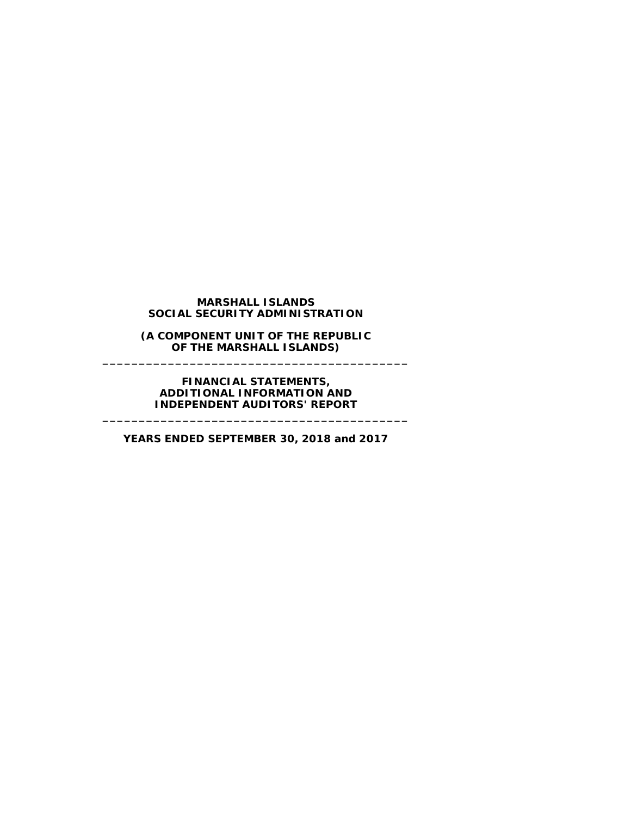## **MARSHALL ISLANDS SOCIAL SECURITY ADMINISTRATION**

**(A COMPONENT UNIT OF THE REPUBLIC OF THE MARSHALL ISLANDS) \_\_\_\_\_\_\_\_\_\_\_\_\_\_\_\_\_\_\_\_\_\_\_\_\_\_\_\_\_\_\_\_\_\_\_\_\_\_\_\_\_\_**

## **FINANCIAL STATEMENTS, ADDITIONAL INFORMATION AND INDEPENDENT AUDITORS' REPORT**

**\_\_\_\_\_\_\_\_\_\_\_\_\_\_\_\_\_\_\_\_\_\_\_\_\_\_\_\_\_\_\_\_\_\_\_\_\_\_\_\_\_\_**

**YEARS ENDED SEPTEMBER 30, 2018 and 2017**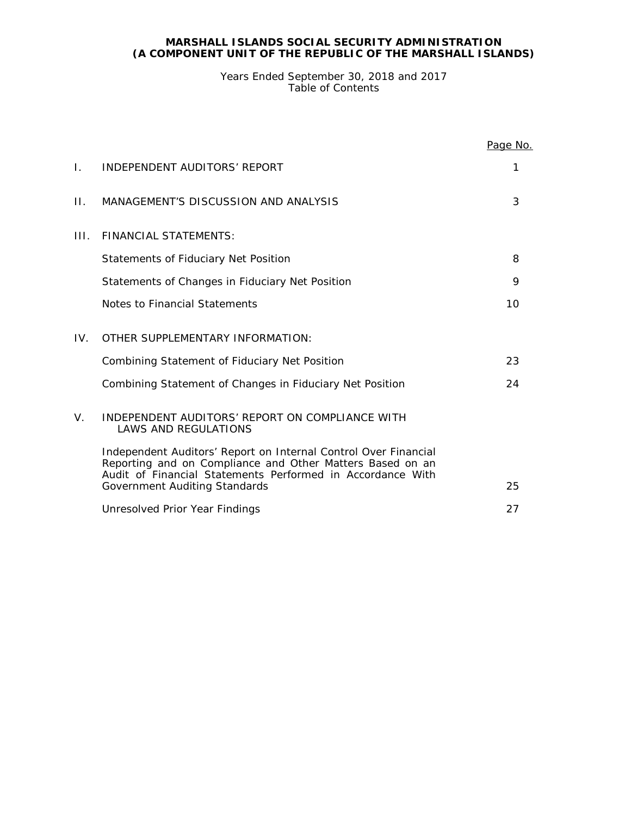# Years Ended September 30, 2018 and 2017 Table of Contents

|      |                                                                                                                                                                                                                             | Page No. |
|------|-----------------------------------------------------------------------------------------------------------------------------------------------------------------------------------------------------------------------------|----------|
| Ι.   | INDEPENDENT AUDITORS' REPORT                                                                                                                                                                                                | 1        |
| Н.   | MANAGEMENT'S DISCUSSION AND ANALYSIS                                                                                                                                                                                        | 3        |
| III. | <b>FINANCIAL STATEMENTS:</b>                                                                                                                                                                                                |          |
|      | Statements of Fiduciary Net Position                                                                                                                                                                                        | 8        |
|      | Statements of Changes in Fiduciary Net Position                                                                                                                                                                             | 9        |
|      | Notes to Financial Statements                                                                                                                                                                                               | 10       |
| IV.  | OTHER SUPPLEMENTARY INFORMATION:                                                                                                                                                                                            |          |
|      | Combining Statement of Fiduciary Net Position                                                                                                                                                                               | 23       |
|      | Combining Statement of Changes in Fiduciary Net Position                                                                                                                                                                    | 24       |
| V.   | <b>INDEPENDENT AUDITORS' REPORT ON COMPLIANCE WITH</b><br><b>LAWS AND REGULATIONS</b>                                                                                                                                       |          |
|      | Independent Auditors' Report on Internal Control Over Financial<br>Reporting and on Compliance and Other Matters Based on an<br>Audit of Financial Statements Performed in Accordance With<br>Government Auditing Standards | 25       |
|      | Unresolved Prior Year Findings                                                                                                                                                                                              | 27       |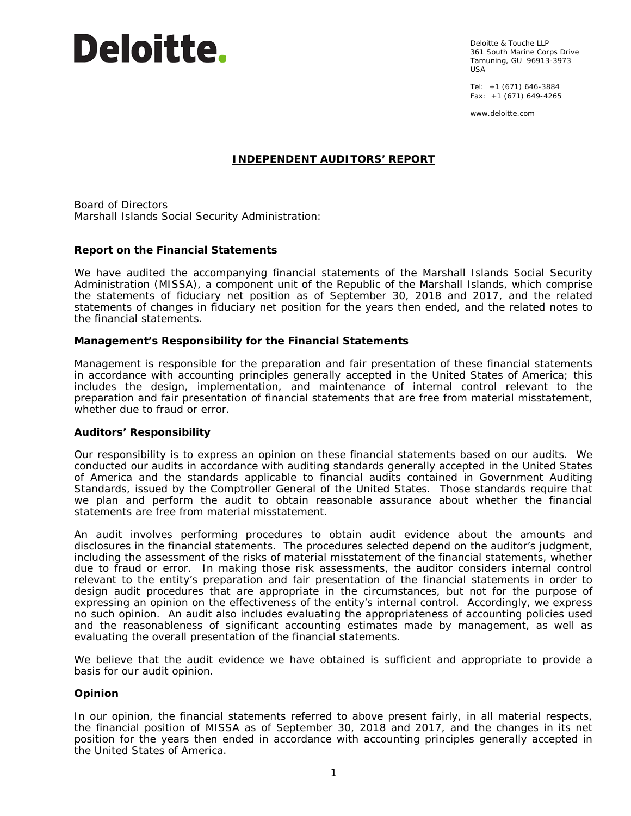

Deloitte & Touche LLP 361 South Marine Corps Drive Tamuning, GU 96913-3973 USA

Tel: +1 (671) 646-3884 Fax: +1 (671) 649-4265

www.deloitte.com

## **INDEPENDENT AUDITORS' REPORT**

Board of Directors Marshall Islands Social Security Administration:

## **Report on the Financial Statements**

We have audited the accompanying financial statements of the Marshall Islands Social Security Administration (MISSA), a component unit of the Republic of the Marshall Islands, which comprise the statements of fiduciary net position as of September 30, 2018 and 2017, and the related statements of changes in fiduciary net position for the years then ended, and the related notes to the financial statements.

## *Management's Responsibility for the Financial Statements*

Management is responsible for the preparation and fair presentation of these financial statements in accordance with accounting principles generally accepted in the United States of America; this includes the design, implementation, and maintenance of internal control relevant to the preparation and fair presentation of financial statements that are free from material misstatement, whether due to fraud or error.

## *Auditors' Responsibility*

Our responsibility is to express an opinion on these financial statements based on our audits. We conducted our audits in accordance with auditing standards generally accepted in the United States of America and the standards applicable to financial audits contained in *Government Auditing Standards*, issued by the Comptroller General of the United States. Those standards require that we plan and perform the audit to obtain reasonable assurance about whether the financial statements are free from material misstatement.

An audit involves performing procedures to obtain audit evidence about the amounts and disclosures in the financial statements. The procedures selected depend on the auditor's judgment, including the assessment of the risks of material misstatement of the financial statements, whether due to fraud or error. In making those risk assessments, the auditor considers internal control relevant to the entity's preparation and fair presentation of the financial statements in order to design audit procedures that are appropriate in the circumstances, but not for the purpose of expressing an opinion on the effectiveness of the entity's internal control. Accordingly, we express no such opinion. An audit also includes evaluating the appropriateness of accounting policies used and the reasonableness of significant accounting estimates made by management, as well as evaluating the overall presentation of the financial statements.

We believe that the audit evidence we have obtained is sufficient and appropriate to provide a basis for our audit opinion.

## *Opinion*

In our opinion, the financial statements referred to above present fairly, in all material respects, the financial position of MISSA as of September 30, 2018 and 2017, and the changes in its net position for the years then ended in accordance with accounting principles generally accepted in the United States of America.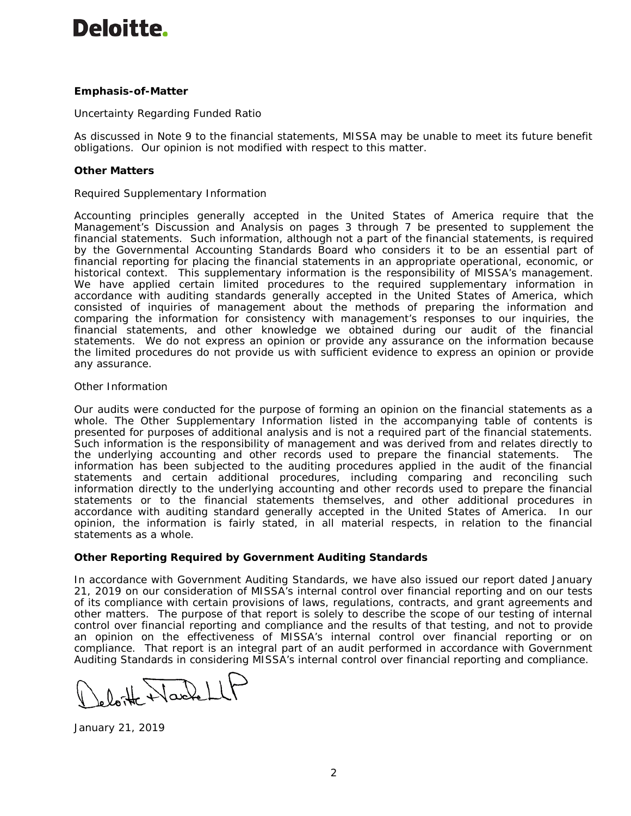# **Deloitte.**

# *Emphasis-of-Matter*

# *Uncertainty Regarding Funded Ratio*

As discussed in Note 9 to the financial statements, MISSA may be unable to meet its future benefit obligations. Our opinion is not modified with respect to this matter.

## *Other Matters*

## *Required Supplementary Information*

Accounting principles generally accepted in the United States of America require that the Management's Discussion and Analysis on pages 3 through 7 be presented to supplement the financial statements. Such information, although not a part of the financial statements, is required by the Governmental Accounting Standards Board who considers it to be an essential part of financial reporting for placing the financial statements in an appropriate operational, economic, or historical context. This supplementary information is the responsibility of MISSA's management. We have applied certain limited procedures to the required supplementary information in accordance with auditing standards generally accepted in the United States of America, which consisted of inquiries of management about the methods of preparing the information and comparing the information for consistency with management's responses to our inquiries, the financial statements, and other knowledge we obtained during our audit of the financial statements. We do not express an opinion or provide any assurance on the information because the limited procedures do not provide us with sufficient evidence to express an opinion or provide any assurance.

## *Other Information*

Our audits were conducted for the purpose of forming an opinion on the financial statements as a whole. The Other Supplementary Information listed in the accompanying table of contents is presented for purposes of additional analysis and is not a required part of the financial statements. Such information is the responsibility of management and was derived from and relates directly to the underlying accounting and other records used to prepare the financial statements. The information has been subjected to the auditing procedures applied in the audit of the financial statements and certain additional procedures, including comparing and reconciling such information directly to the underlying accounting and other records used to prepare the financial statements or to the financial statements themselves, and other additional procedures in accordance with auditing standard generally accepted in the United States of America. In our opinion, the information is fairly stated, in all material respects, in relation to the financial statements as a whole.

# **Other Reporting Required by** *Government Auditing Standards*

In accordance with *Government Auditing Standards*, we have also issued our report dated January 21, 2019 on our consideration of MISSA's internal control over financial reporting and on our tests of its compliance with certain provisions of laws, regulations, contracts, and grant agreements and other matters. The purpose of that report is solely to describe the scope of our testing of internal control over financial reporting and compliance and the results of that testing, and not to provide an opinion on the effectiveness of MISSA's internal control over financial reporting or on compliance. That report is an integral part of an audit performed in accordance with *Government Auditing Standards* in considering MISSA's internal control over financial reporting and compliance.

Varkel

January 21, 2019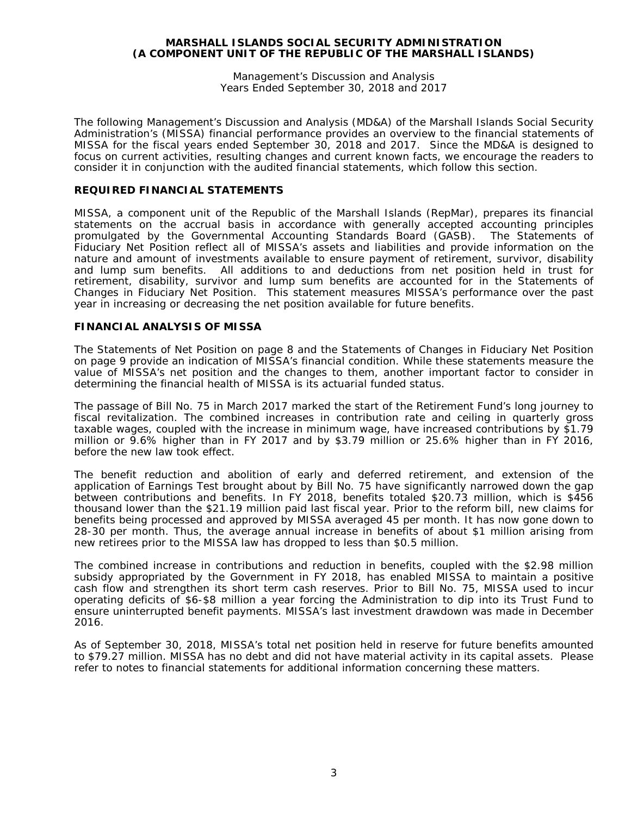Management's Discussion and Analysis Years Ended September 30, 2018 and 2017

The following Management's Discussion and Analysis (MD&A) of the Marshall Islands Social Security Administration's (MISSA) financial performance provides an overview to the financial statements of MISSA for the fiscal years ended September 30, 2018 and 2017. Since the MD&A is designed to focus on current activities, resulting changes and current known facts, we encourage the readers to consider it in conjunction with the audited financial statements, which follow this section.

## **REQUIRED FINANCIAL STATEMENTS**

MISSA, a component unit of the Republic of the Marshall Islands (RepMar), prepares its financial statements on the accrual basis in accordance with generally accepted accounting principles promulgated by the Governmental Accounting Standards Board (GASB). The Statements of Fiduciary Net Position reflect all of MISSA's assets and liabilities and provide information on the nature and amount of investments available to ensure payment of retirement, survivor, disability and lump sum benefits. All additions to and deductions from net position held in trust for retirement, disability, survivor and lump sum benefits are accounted for in the Statements of Changes in Fiduciary Net Position. This statement measures MISSA's performance over the past year in increasing or decreasing the net position available for future benefits.

## **FINANCIAL ANALYSIS OF MISSA**

The Statements of Net Position on page 8 and the Statements of Changes in Fiduciary Net Position on page 9 provide an indication of MISSA's financial condition. While these statements measure the value of MISSA's net position and the changes to them, another important factor to consider in determining the financial health of MISSA is its actuarial funded status.

The passage of Bill No. 75 in March 2017 marked the start of the Retirement Fund's long journey to fiscal revitalization. The combined increases in contribution rate and ceiling in quarterly gross taxable wages, coupled with the increase in minimum wage, have increased contributions by \$1.79 million or 9.6% higher than in FY 2017 and by \$3.79 million or 25.6% higher than in FY 2016, before the new law took effect.

The benefit reduction and abolition of early and deferred retirement, and extension of the application of Earnings Test brought about by Bill No. 75 have significantly narrowed down the gap between contributions and benefits. In FY 2018, benefits totaled \$20.73 million, which is \$456 thousand lower than the \$21.19 million paid last fiscal year. Prior to the reform bill, new claims for benefits being processed and approved by MISSA averaged 45 per month. It has now gone down to 28-30 per month. Thus, the average annual increase in benefits of about \$1 million arising from new retirees prior to the MISSA law has dropped to less than \$0.5 million.

The combined increase in contributions and reduction in benefits, coupled with the \$2.98 million subsidy appropriated by the Government in FY 2018, has enabled MISSA to maintain a positive cash flow and strengthen its short term cash reserves. Prior to Bill No. 75, MISSA used to incur operating deficits of \$6-\$8 million a year forcing the Administration to dip into its Trust Fund to ensure uninterrupted benefit payments. MISSA's last investment drawdown was made in December 2016.

As of September 30, 2018, MISSA's total net position held in reserve for future benefits amounted to \$79.27 million. MISSA has no debt and did not have material activity in its capital assets. Please refer to notes to financial statements for additional information concerning these matters.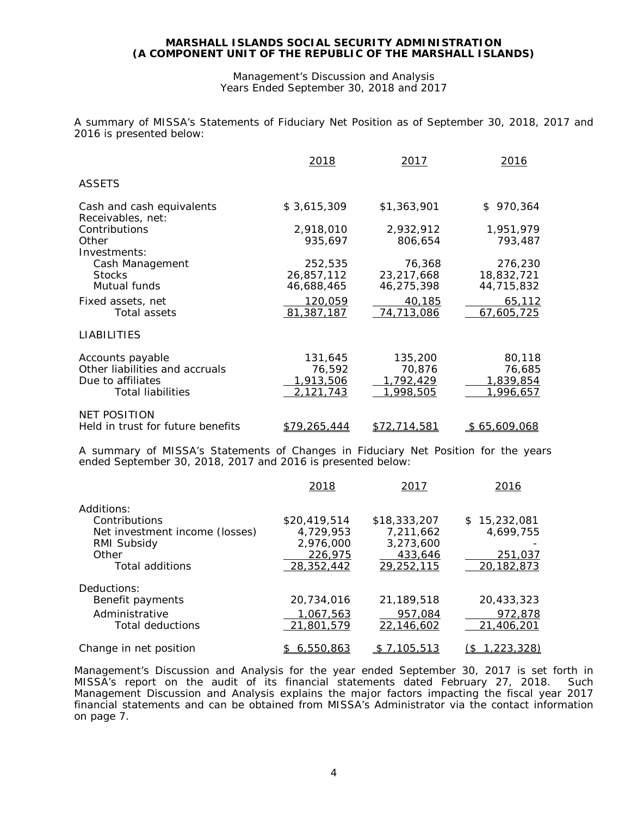Management's Discussion and Analysis Years Ended September 30, 2018 and 2017

A summary of MISSA's Statements of Fiduciary Net Position as of September 30, 2018, 2017 and 2016 is presented below:

|                                                                                              | 2018                                        | 2017                                        | 2016                                                     |
|----------------------------------------------------------------------------------------------|---------------------------------------------|---------------------------------------------|----------------------------------------------------------|
| <b>ASSETS</b>                                                                                |                                             |                                             |                                                          |
| Cash and cash equivalents<br>Receivables, net:                                               | \$3,615,309                                 | \$1,363,901                                 | \$970,364                                                |
| Contributions<br>Other<br>Investments:                                                       | 2,918,010<br>935,697                        | 2,932,912<br>806,654                        | 1,951,979<br>793,487                                     |
| Cash Management<br><b>Stocks</b><br>Mutual funds                                             | 252,535<br>26,857,112<br>46,688,465         | 76,368<br>23,217,668<br>46,275,398          | 276,230<br>18,832,721<br>44,715,832                      |
| Fixed assets, net<br>Total assets                                                            | 120,059<br>81,387,187                       | 40,185<br>74,713,086                        | 65,112<br>67,605,725                                     |
| <b>LIABILITIES</b>                                                                           |                                             |                                             |                                                          |
| Accounts payable<br>Other liabilities and accruals<br>Due to affiliates<br>Total liabilities | 131,645<br>76,592<br>1,913,506<br>2,121,743 | 135,200<br>70,876<br>1,792,429<br>1,998,505 | 80,118<br>76,685<br><u>1,839,854</u><br><u>1,996,657</u> |
| <b>NET POSITION</b><br>Held in trust for future benefits                                     | \$79,265,444                                | <u>\$72,714,581</u>                         | \$65,609,068                                             |

A summary of MISSA's Statements of Changes in Fiduciary Net Position for the years ended September 30, 2018, 2017 and 2016 is presented below:

|                                | 2018         | 2017         | 2016                   |
|--------------------------------|--------------|--------------|------------------------|
| Additions:                     |              |              |                        |
| Contributions                  | \$20,419,514 | \$18,333,207 | \$15.232.081           |
| Net investment income (losses) | 4.729.953    | 7,211,662    | 4.699.755              |
| RMI Subsidy                    | 2,976,000    | 3,273,600    |                        |
| Other                          | 226.975      | 433,646      | 251,037                |
| Total additions                | 28,352,442   | 29,252,115   | 20,182,873             |
| Deductions:                    |              |              |                        |
| Benefit payments               | 20.734.016   | 21,189,518   | 20.433.323             |
| Administrative                 | 1,067,563    | 957.084      | 972.878                |
| Total deductions               | 21,801,579   | 22,146,602   | 21,406,201             |
| Change in net position         | 6,550,863    | 7.105.513    | <u>,223,328)</u><br>(S |

Management's Discussion and Analysis for the year ended September 30, 2017 is set forth in MISSA's report on the audit of its financial statements dated February 27, 2018. Such Management Discussion and Analysis explains the major factors impacting the fiscal year 2017 financial statements and can be obtained from MISSA's Administrator via the contact information on page 7.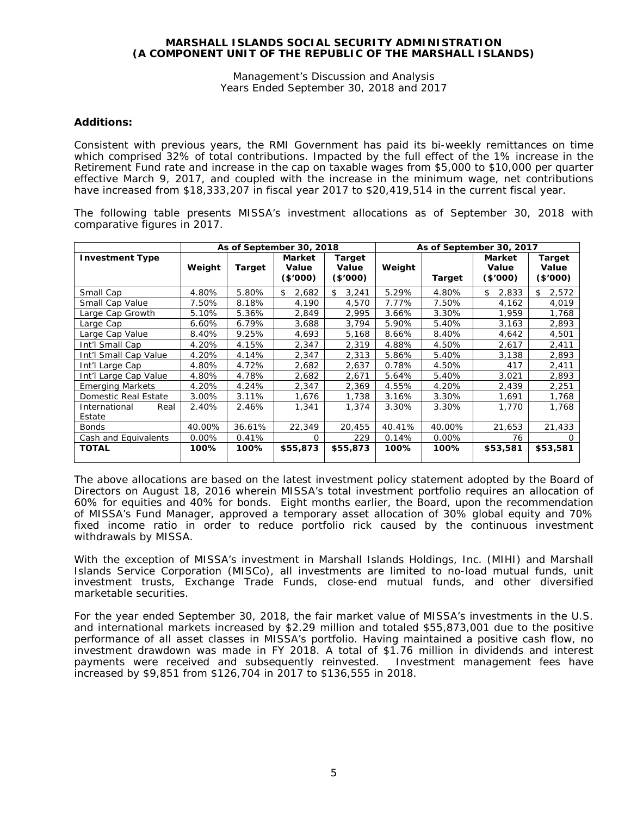Management's Discussion and Analysis Years Ended September 30, 2018 and 2017

## **Additions:**

Consistent with previous years, the RMI Government has paid its bi-weekly remittances on time which comprised 32% of total contributions. Impacted by the full effect of the 1% increase in the Retirement Fund rate and increase in the cap on taxable wages from \$5,000 to \$10,000 per quarter effective March 9, 2017, and coupled with the increase in the minimum wage, net contributions have increased from \$18,333,207 in fiscal year 2017 to \$20,419,514 in the current fiscal year.

The following table presents MISSA's investment allocations as of September 30, 2018 with comparative figures in 2017.

|                                 | As of September 30, 2018 |               |                             | As of September 30, 2017    |        |               |                             |                             |
|---------------------------------|--------------------------|---------------|-----------------------------|-----------------------------|--------|---------------|-----------------------------|-----------------------------|
| <b>Investment Type</b>          | Weight                   | <b>Target</b> | Market<br>Value<br>(\$7000) | Target<br>Value<br>(\$'000) | Weight | <b>Target</b> | Market<br>Value<br>(\$'000) | Target<br>Value<br>(\$'000) |
| Small Cap                       | 4.80%                    | 5.80%         | \$<br>2,682                 | \$<br>3,241                 | 5.29%  | 4.80%         | \$<br>2,833                 | \$<br>2,572                 |
| Small Cap Value                 | 7.50%                    | 8.18%         | 4,190                       | 4,570                       | 7.77%  | 7.50%         | 4,162                       | 4,019                       |
| Large Cap Growth                | 5.10%                    | 5.36%         | 2,849                       | 2.995                       | 3.66%  | 3.30%         | 1.959                       | 1.768                       |
| Large Cap                       | 6.60%                    | 6.79%         | 3,688                       | 3,794                       | 5.90%  | 5.40%         | 3,163                       | 2,893                       |
| Large Cap Value                 | 8.40%                    | 9.25%         | 4,693                       | 5,168                       | 8.66%  | 8.40%         | 4,642                       | 4,501                       |
| Int'l Small Cap                 | 4.20%                    | 4.15%         | 2,347                       | 2,319                       | 4.88%  | 4.50%         | 2,617                       | 2,411                       |
| Int'l Small Cap Value           | 4.20%                    | 4.14%         | 2,347                       | 2,313                       | 5.86%  | 5.40%         | 3,138                       | 2,893                       |
| Int'l Large Cap                 | 4.80%                    | 4.72%         | 2,682                       | 2,637                       | 0.78%  | 4.50%         | 417                         | 2,411                       |
| Int'l Large Cap Value           | 4.80%                    | 4.78%         | 2,682                       | 2,671                       | 5.64%  | 5.40%         | 3,021                       | 2,893                       |
| <b>Emerging Markets</b>         | 4.20%                    | 4.24%         | 2,347                       | 2,369                       | 4.55%  | 4.20%         | 2,439                       | 2,251                       |
| Domestic Real Estate            | 3.00%                    | 3.11%         | 1,676                       | 1,738                       | 3.16%  | 3.30%         | 1,691                       | 1,768                       |
| International<br>Real<br>Estate | 2.40%                    | 2.46%         | 1,341                       | 1.374                       | 3.30%  | 3.30%         | 1,770                       | 1,768                       |
| <b>Bonds</b>                    | 40.00%                   | 36.61%        | 22,349                      | 20,455                      | 40.41% | 40.00%        | 21,653                      | 21,433                      |
| Cash and Equivalents            | $0.00\%$                 | 0.41%         | O                           | 229                         | 0.14%  | 0.00%         | 76                          |                             |
| <b>TOTAL</b>                    | 100%                     | 100%          | \$55,873                    | \$55,873                    | 100%   | 100%          | \$53,581                    | \$53,581                    |

The above allocations are based on the latest investment policy statement adopted by the Board of Directors on August 18, 2016 wherein MISSA's total investment portfolio requires an allocation of 60% for equities and 40% for bonds. Eight months earlier, the Board, upon the recommendation of MISSA's Fund Manager, approved a temporary asset allocation of 30% global equity and 70% fixed income ratio in order to reduce portfolio rick caused by the continuous investment withdrawals by MISSA.

With the exception of MISSA's investment in Marshall Islands Holdings, Inc. (MIHI) and Marshall Islands Service Corporation (MISCo), all investments are limited to no-load mutual funds, unit investment trusts, Exchange Trade Funds, close-end mutual funds, and other diversified marketable securities.

For the year ended September 30, 2018, the fair market value of MISSA's investments in the U.S. and international markets increased by \$2.29 million and totaled \$55,873,001 due to the positive performance of all asset classes in MISSA's portfolio. Having maintained a positive cash flow, no investment drawdown was made in FY 2018. A total of \$1.76 million in dividends and interest payments were received and subsequently reinvested. Investment management fees have increased by \$9,851 from \$126,704 in 2017 to \$136,555 in 2018.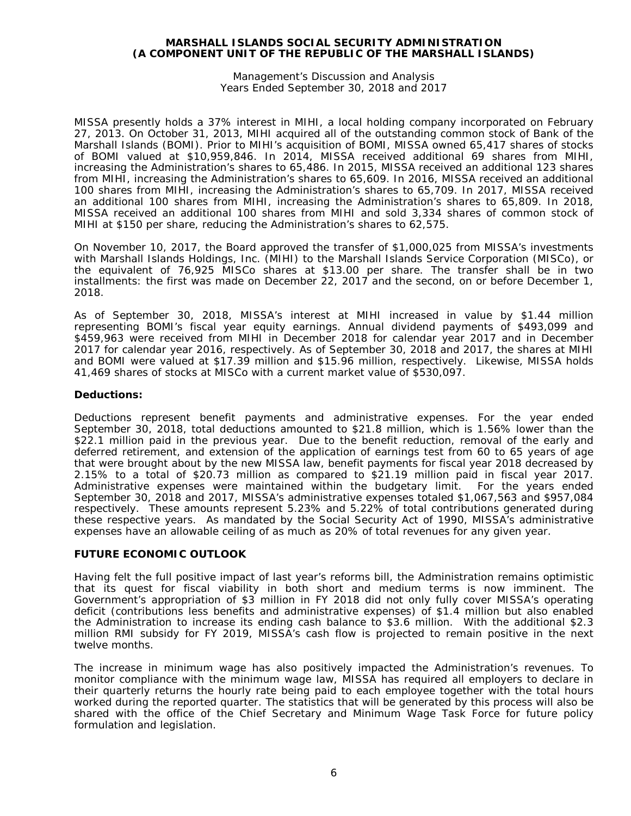Management's Discussion and Analysis Years Ended September 30, 2018 and 2017

MISSA presently holds a 37% interest in MIHI, a local holding company incorporated on February 27, 2013. On October 31, 2013, MIHI acquired all of the outstanding common stock of Bank of the Marshall Islands (BOMI). Prior to MIHI's acquisition of BOMI, MISSA owned 65,417 shares of stocks of BOMI valued at \$10,959,846. In 2014, MISSA received additional 69 shares from MIHI, increasing the Administration's shares to 65,486. In 2015, MISSA received an additional 123 shares from MIHI, increasing the Administration's shares to 65,609. In 2016, MISSA received an additional 100 shares from MIHI, increasing the Administration's shares to 65,709. In 2017, MISSA received an additional 100 shares from MIHI, increasing the Administration's shares to 65,809. In 2018, MISSA received an additional 100 shares from MIHI and sold 3,334 shares of common stock of MIHI at \$150 per share, reducing the Administration's shares to 62,575.

On November 10, 2017, the Board approved the transfer of \$1,000,025 from MISSA's investments with Marshall Islands Holdings, Inc. (MIHI) to the Marshall Islands Service Corporation (MISCo), or the equivalent of 76,925 MISCo shares at \$13.00 per share. The transfer shall be in two installments: the first was made on December 22, 2017 and the second, on or before December 1, 2018.

As of September 30, 2018, MISSA's interest at MIHI increased in value by \$1.44 million representing BOMI's fiscal year equity earnings. Annual dividend payments of \$493,099 and \$459,963 were received from MIHI in December 2018 for calendar year 2017 and in December 2017 for calendar year 2016, respectively. As of September 30, 2018 and 2017, the shares at MIHI and BOMI were valued at \$17.39 million and \$15.96 million, respectively. Likewise, MISSA holds 41,469 shares of stocks at MISCo with a current market value of \$530,097.

## **Deductions:**

Deductions represent benefit payments and administrative expenses. For the year ended September 30, 2018, total deductions amounted to \$21.8 million, which is 1.56% lower than the \$22.1 million paid in the previous year. Due to the benefit reduction, removal of the early and deferred retirement, and extension of the application of earnings test from 60 to 65 years of age that were brought about by the new MISSA law, benefit payments for fiscal year 2018 decreased by 2.15% to a total of \$20.73 million as compared to \$21.19 million paid in fiscal year 2017. Administrative expenses were maintained within the budgetary limit. For the years ended September 30, 2018 and 2017, MISSA's administrative expenses totaled \$1,067,563 and \$957,084 respectively. These amounts represent 5.23% and 5.22% of total contributions generated during these respective years. As mandated by the Social Security Act of 1990, MISSA's administrative expenses have an allowable ceiling of as much as 20% of total revenues for any given year.

## **FUTURE ECONOMIC OUTLOOK**

Having felt the full positive impact of last year's reforms bill, the Administration remains optimistic that its quest for fiscal viability in both short and medium terms is now imminent. The Government's appropriation of \$3 million in FY 2018 did not only fully cover MISSA's operating deficit (contributions less benefits and administrative expenses) of \$1.4 million but also enabled the Administration to increase its ending cash balance to \$3.6 million. With the additional \$2.3 million RMI subsidy for FY 2019, MISSA's cash flow is projected to remain positive in the next twelve months.

The increase in minimum wage has also positively impacted the Administration's revenues. To monitor compliance with the minimum wage law, MISSA has required all employers to declare in their quarterly returns the hourly rate being paid to each employee together with the total hours worked during the reported quarter. The statistics that will be generated by this process will also be shared with the office of the Chief Secretary and Minimum Wage Task Force for future policy formulation and legislation.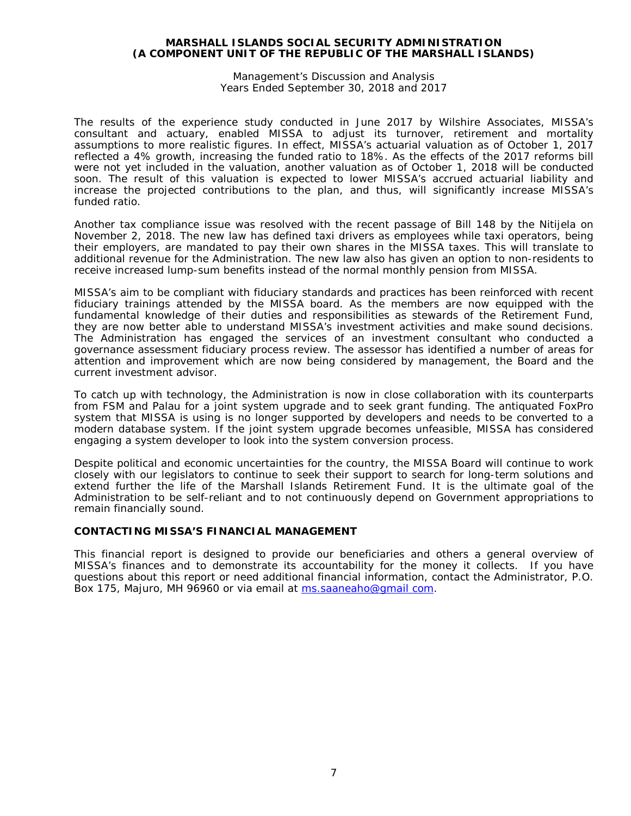Management's Discussion and Analysis Years Ended September 30, 2018 and 2017

The results of the experience study conducted in June 2017 by Wilshire Associates, MISSA's consultant and actuary, enabled MISSA to adjust its turnover, retirement and mortality assumptions to more realistic figures. In effect, MISSA's actuarial valuation as of October 1, 2017 reflected a 4% growth, increasing the funded ratio to 18%. As the effects of the 2017 reforms bill were not yet included in the valuation, another valuation as of October 1, 2018 will be conducted soon. The result of this valuation is expected to lower MISSA's accrued actuarial liability and increase the projected contributions to the plan, and thus, will significantly increase MISSA's funded ratio.

Another tax compliance issue was resolved with the recent passage of Bill 148 by the Nitijela on November 2, 2018. The new law has defined taxi drivers as employees while taxi operators, being their employers, are mandated to pay their own shares in the MISSA taxes. This will translate to additional revenue for the Administration. The new law also has given an option to non-residents to receive increased lump-sum benefits instead of the normal monthly pension from MISSA.

MISSA's aim to be compliant with fiduciary standards and practices has been reinforced with recent fiduciary trainings attended by the MISSA board. As the members are now equipped with the fundamental knowledge of their duties and responsibilities as stewards of the Retirement Fund, they are now better able to understand MISSA's investment activities and make sound decisions. The Administration has engaged the services of an investment consultant who conducted a governance assessment fiduciary process review. The assessor has identified a number of areas for attention and improvement which are now being considered by management, the Board and the current investment advisor.

To catch up with technology, the Administration is now in close collaboration with its counterparts from FSM and Palau for a joint system upgrade and to seek grant funding. The antiquated FoxPro system that MISSA is using is no longer supported by developers and needs to be converted to a modern database system. If the joint system upgrade becomes unfeasible, MISSA has considered engaging a system developer to look into the system conversion process.

Despite political and economic uncertainties for the country, the MISSA Board will continue to work closely with our legislators to continue to seek their support to search for long-term solutions and extend further the life of the Marshall Islands Retirement Fund. It is the ultimate goal of the Administration to be self-reliant and to not continuously depend on Government appropriations to remain financially sound.

## **CONTACTING MISSA'S FINANCIAL MANAGEMENT**

This financial report is designed to provide our beneficiaries and others a general overview of MISSA's finances and to demonstrate its accountability for the money it collects. If you have questions about this report or need additional financial information, contact the Administrator, P.O. Box 175, Majuro, MH 96960 or via email at [ms.saaneaho@gmail com.](mailto:ms.saaneaho@gmail%20com)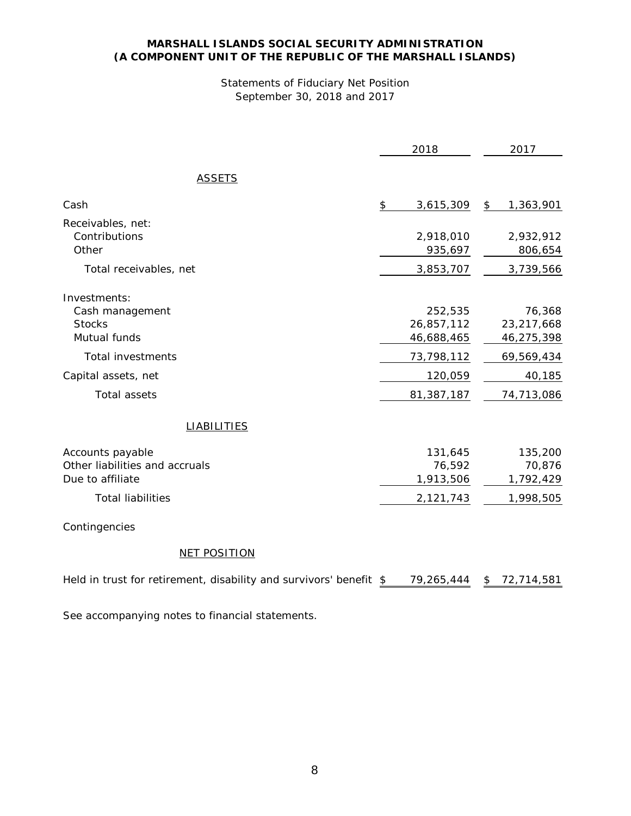# Statements of Fiduciary Net Position September 30, 2018 and 2017

|                                                                                                    | 2018                                        | 2017                                        |
|----------------------------------------------------------------------------------------------------|---------------------------------------------|---------------------------------------------|
| <b>ASSETS</b>                                                                                      |                                             |                                             |
| Cash                                                                                               | \$<br>3,615,309                             | 1,363,901<br>\$                             |
| Receivables, net:<br>Contributions<br>Other                                                        | 2,918,010<br>935,697                        | 2,932,912<br>806,654                        |
| Total receivables, net                                                                             | 3,853,707                                   | 3,739,566                                   |
| Investments:<br>Cash management<br><b>Stocks</b><br>Mutual funds                                   | 252,535<br>26,857,112<br>46,688,465         | 76,368<br>23,217,668<br>46,275,398          |
| <b>Total investments</b>                                                                           | 73,798,112                                  | 69,569,434                                  |
| Capital assets, net                                                                                | 120,059                                     | 40,185                                      |
| Total assets<br><b>LIABILITIES</b>                                                                 | 81,387,187                                  | 74,713,086                                  |
| Accounts payable<br>Other liabilities and accruals<br>Due to affiliate<br><b>Total liabilities</b> | 131,645<br>76,592<br>1,913,506<br>2,121,743 | 135,200<br>70,876<br>1,792,429<br>1,998,505 |
| Contingencies                                                                                      |                                             |                                             |
| <b>NET POSITION</b>                                                                                |                                             |                                             |
| Held in trust for retirement, disability and survivors' benefit \$                                 | 79,265,444                                  | \$<br>72,714,581                            |

See accompanying notes to financial statements.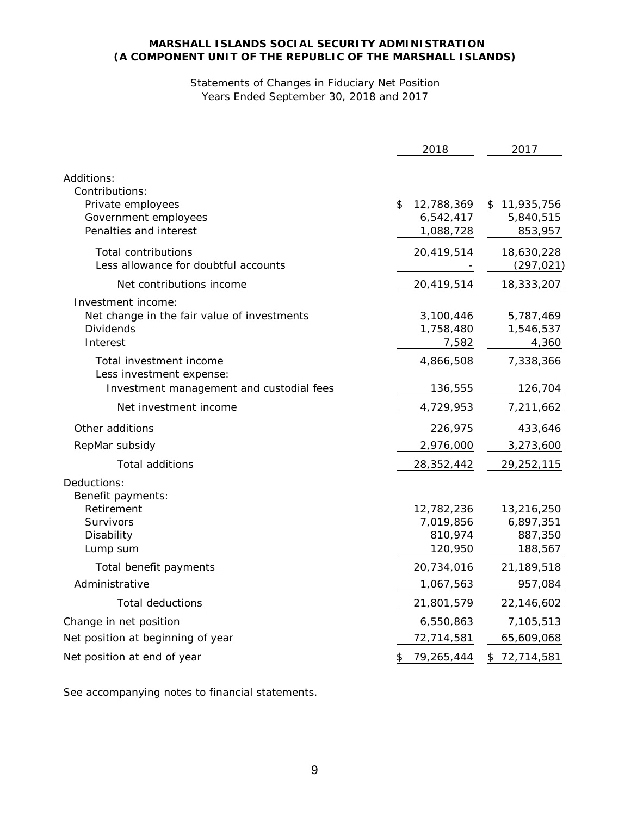# Statements of Changes in Fiduciary Net Position Years Ended September 30, 2018 and 2017

|                                                                                                   | 2018                                          | 2017                                          |
|---------------------------------------------------------------------------------------------------|-----------------------------------------------|-----------------------------------------------|
| Additions:                                                                                        |                                               |                                               |
| Contributions:<br>Private employees<br>Government employees<br>Penalties and interest             | \$<br>12,788,369<br>6,542,417<br>1,088,728    | 11,935,756<br>\$<br>5,840,515<br>853,957      |
| <b>Total contributions</b><br>Less allowance for doubtful accounts                                | 20,419,514                                    | 18,630,228<br>(297, 021)                      |
| Net contributions income                                                                          | 20,419,514                                    | 18,333,207                                    |
| Investment income:<br>Net change in the fair value of investments<br><b>Dividends</b><br>Interest | 3,100,446<br>1,758,480<br>7,582               | 5,787,469<br>1,546,537<br>4,360               |
| Total investment income<br>Less investment expense:<br>Investment management and custodial fees   | 4,866,508<br>136,555                          | 7,338,366<br>126,704                          |
| Net investment income                                                                             | 4,729,953                                     | 7,211,662                                     |
| Other additions                                                                                   | 226,975                                       | 433,646                                       |
| RepMar subsidy                                                                                    | 2,976,000                                     | 3,273,600                                     |
| <b>Total additions</b>                                                                            | 28,352,442                                    | 29,252,115                                    |
| Deductions:<br>Benefit payments:                                                                  |                                               |                                               |
| Retirement<br>Survivors<br>Disability<br>Lump sum                                                 | 12,782,236<br>7,019,856<br>810,974<br>120,950 | 13,216,250<br>6,897,351<br>887,350<br>188,567 |
| Total benefit payments                                                                            | 20,734,016                                    | 21,189,518                                    |
| Administrative                                                                                    | 1,067,563                                     | 957,084                                       |
| <b>Total deductions</b>                                                                           | 21,801,579                                    | 22, 146, 602                                  |
| Change in net position                                                                            | 6,550,863                                     | 7,105,513                                     |
| Net position at beginning of year                                                                 | 72,714,581                                    | 65,609,068                                    |
| Net position at end of year                                                                       | 79,265,444<br>\$                              | \$72,714,581                                  |

See accompanying notes to financial statements.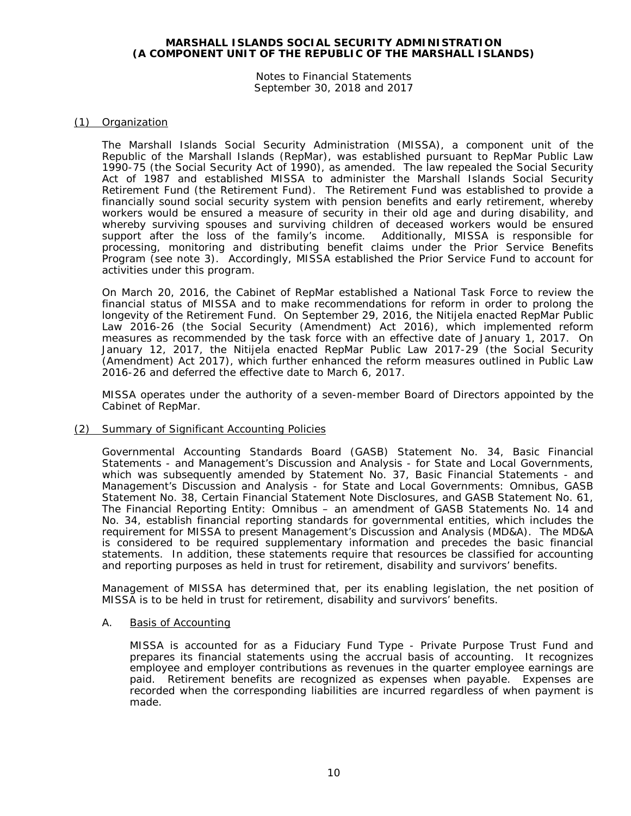Notes to Financial Statements September 30, 2018 and 2017

## (1) Organization

The Marshall Islands Social Security Administration (MISSA), a component unit of the Republic of the Marshall Islands (RepMar), was established pursuant to RepMar Public Law 1990-75 (the Social Security Act of 1990), as amended. The law repealed the Social Security Act of 1987 and established MISSA to administer the Marshall Islands Social Security Retirement Fund (the Retirement Fund). The Retirement Fund was established to provide a financially sound social security system with pension benefits and early retirement, whereby workers would be ensured a measure of security in their old age and during disability, and whereby surviving spouses and surviving children of deceased workers would be ensured support after the loss of the family's income. Additionally, MISSA is responsible for processing, monitoring and distributing benefit claims under the Prior Service Benefits Program (see note 3). Accordingly, MISSA established the Prior Service Fund to account for activities under this program.

On March 20, 2016, the Cabinet of RepMar established a National Task Force to review the financial status of MISSA and to make recommendations for reform in order to prolong the longevity of the Retirement Fund. On September 29, 2016, the Nitijela enacted RepMar Public Law 2016-26 (the Social Security (Amendment) Act 2016), which implemented reform measures as recommended by the task force with an effective date of January 1, 2017. On January 12, 2017, the Nitijela enacted RepMar Public Law 2017-29 (the Social Security (Amendment) Act 2017), which further enhanced the reform measures outlined in Public Law 2016-26 and deferred the effective date to March 6, 2017.

MISSA operates under the authority of a seven-member Board of Directors appointed by the Cabinet of RepMar.

## (2) Summary of Significant Accounting Policies

Governmental Accounting Standards Board (GASB) Statement No. 34, *Basic Financial Statements - and Management's Discussion and Analysis - for State and Local Governments*, which was subsequently amended by Statement No. 37, *Basic Financial Statements - and Management's Discussion and Analysis - for State and Local Governments: Omnibus*, GASB Statement No. 38, *Certain Financial Statement Note Disclosures,* and GASB Statement No. 61, *The Financial Reporting Entity: Omnibus – an amendment of GASB Statements No. 14 and No. 34*, establish financial reporting standards for governmental entities, which includes the requirement for MISSA to present Management's Discussion and Analysis (MD&A). The MD&A is considered to be required supplementary information and precedes the basic financial statements. In addition, these statements require that resources be classified for accounting and reporting purposes as held in trust for retirement, disability and survivors' benefits.

Management of MISSA has determined that, per its enabling legislation, the net position of MISSA is to be held in trust for retirement, disability and survivors' benefits.

#### A. Basis of Accounting

MISSA is accounted for as a Fiduciary Fund Type - Private Purpose Trust Fund and prepares its financial statements using the accrual basis of accounting. It recognizes employee and employer contributions as revenues in the quarter employee earnings are paid. Retirement benefits are recognized as expenses when payable. Expenses are recorded when the corresponding liabilities are incurred regardless of when payment is made.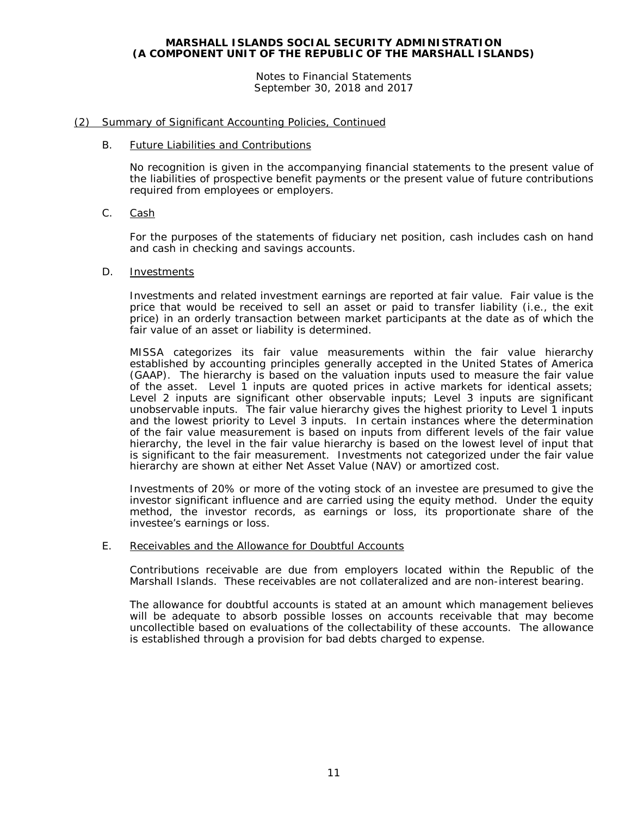Notes to Financial Statements September 30, 2018 and 2017

## (2) Summary of Significant Accounting Policies, Continued

## B. Future Liabilities and Contributions

No recognition is given in the accompanying financial statements to the present value of the liabilities of prospective benefit payments or the present value of future contributions required from employees or employers.

## C. Cash

For the purposes of the statements of fiduciary net position, cash includes cash on hand and cash in checking and savings accounts.

## D. Investments

Investments and related investment earnings are reported at fair value. Fair value is the price that would be received to sell an asset or paid to transfer liability (i.e., the exit price) in an orderly transaction between market participants at the date as of which the fair value of an asset or liability is determined.

MISSA categorizes its fair value measurements within the fair value hierarchy established by accounting principles generally accepted in the United States of America (GAAP). The hierarchy is based on the valuation inputs used to measure the fair value of the asset. Level 1 inputs are quoted prices in active markets for identical assets; Level 2 inputs are significant other observable inputs; Level 3 inputs are significant unobservable inputs. The fair value hierarchy gives the highest priority to Level 1 inputs and the lowest priority to Level 3 inputs. In certain instances where the determination of the fair value measurement is based on inputs from different levels of the fair value hierarchy, the level in the fair value hierarchy is based on the lowest level of input that is significant to the fair measurement. Investments not categorized under the fair value hierarchy are shown at either Net Asset Value (NAV) or amortized cost.

Investments of 20% or more of the voting stock of an investee are presumed to give the investor significant influence and are carried using the equity method. Under the equity method, the investor records, as earnings or loss, its proportionate share of the investee's earnings or loss.

## E. Receivables and the Allowance for Doubtful Accounts

Contributions receivable are due from employers located within the Republic of the Marshall Islands. These receivables are not collateralized and are non-interest bearing.

The allowance for doubtful accounts is stated at an amount which management believes will be adequate to absorb possible losses on accounts receivable that may become uncollectible based on evaluations of the collectability of these accounts. The allowance is established through a provision for bad debts charged to expense.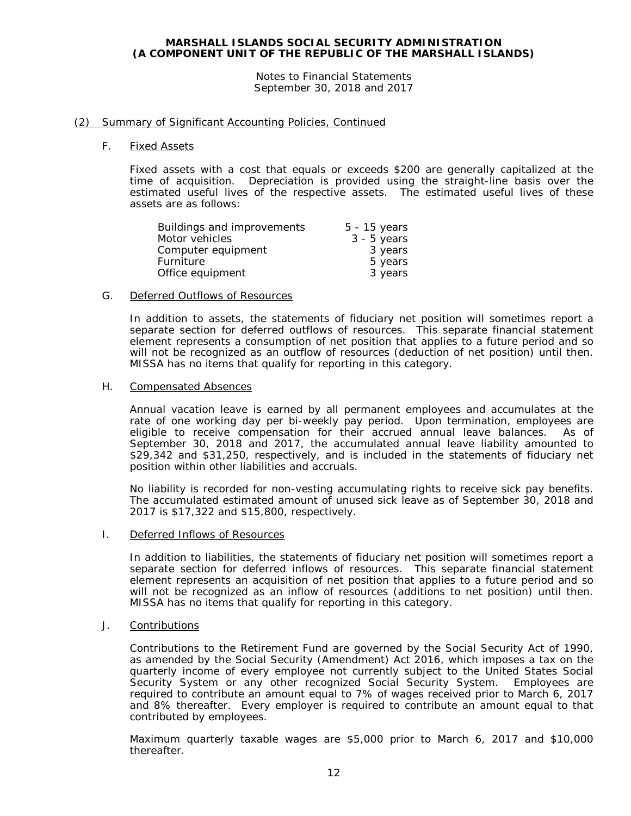Notes to Financial Statements September 30, 2018 and 2017

## (2) Summary of Significant Accounting Policies, Continued

#### F. Fixed Assets

Fixed assets with a cost that equals or exceeds \$200 are generally capitalized at the time of acquisition. Depreciation is provided using the straight-line basis over the estimated useful lives of the respective assets. The estimated useful lives of these assets are as follows:

| Buildings and improvements | $5 - 15$ years |
|----------------------------|----------------|
| Motor vehicles             | $3 - 5$ years  |
| Computer equipment         | 3 years        |
| Furniture                  | 5 years        |
| Office equipment           | 3 years        |

#### G. Deferred Outflows of Resources

In addition to assets, the statements of fiduciary net position will sometimes report a separate section for deferred outflows of resources. This separate financial statement element represents a consumption of net position that applies to a future period and so will not be recognized as an outflow of resources (deduction of net position) until then. MISSA has no items that qualify for reporting in this category.

#### H. Compensated Absences

Annual vacation leave is earned by all permanent employees and accumulates at the rate of one working day per bi-weekly pay period. Upon termination, employees are eligible to receive compensation for their accrued annual leave balances. As of September 30, 2018 and 2017, the accumulated annual leave liability amounted to \$29,342 and \$31,250, respectively, and is included in the statements of fiduciary net position within other liabilities and accruals.

No liability is recorded for non-vesting accumulating rights to receive sick pay benefits. The accumulated estimated amount of unused sick leave as of September 30, 2018 and 2017 is \$17,322 and \$15,800, respectively.

## I. Deferred Inflows of Resources

In addition to liabilities, the statements of fiduciary net position will sometimes report a separate section for deferred inflows of resources. This separate financial statement element represents an acquisition of net position that applies to a future period and so will not be recognized as an inflow of resources (additions to net position) until then. MISSA has no items that qualify for reporting in this category.

#### J. Contributions

Contributions to the Retirement Fund are governed by the Social Security Act of 1990, as amended by the Social Security (Amendment) Act 2016, which imposes a tax on the quarterly income of every employee not currently subject to the United States Social Security System or any other recognized Social Security System. Employees are required to contribute an amount equal to 7% of wages received prior to March 6, 2017 and 8% thereafter. Every employer is required to contribute an amount equal to that contributed by employees.

Maximum quarterly taxable wages are \$5,000 prior to March 6, 2017 and \$10,000 thereafter.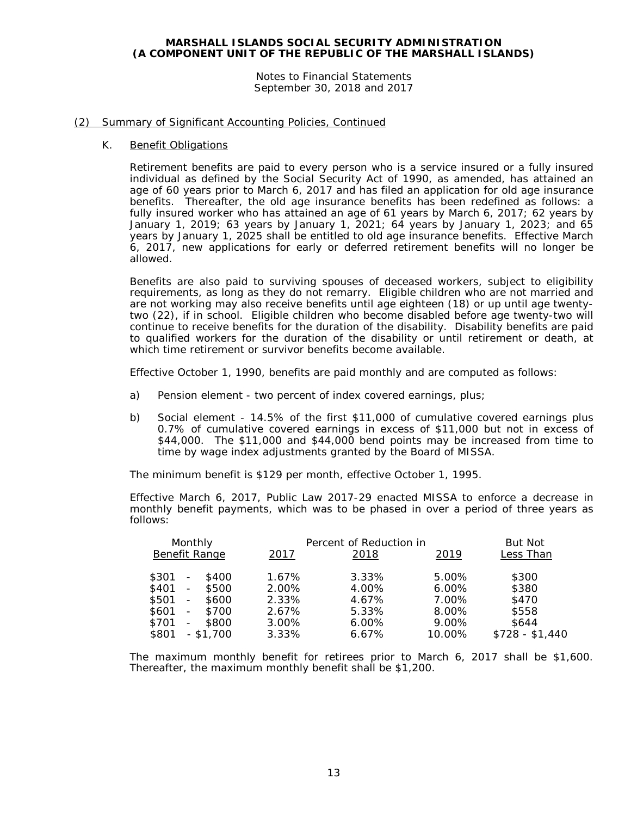Notes to Financial Statements September 30, 2018 and 2017

## (2) Summary of Significant Accounting Policies, Continued

## K. Benefit Obligations

Retirement benefits are paid to every person who is a service insured or a fully insured individual as defined by the Social Security Act of 1990, as amended, has attained an age of 60 years prior to March 6, 2017 and has filed an application for old age insurance benefits. Thereafter, the old age insurance benefits has been redefined as follows: a fully insured worker who has attained an age of 61 years by March 6, 2017; 62 years by January 1, 2019; 63 years by January 1, 2021; 64 years by January 1, 2023; and 65 years by January 1, 2025 shall be entitled to old age insurance benefits. Effective March 6, 2017, new applications for early or deferred retirement benefits will no longer be allowed.

Benefits are also paid to surviving spouses of deceased workers, subject to eligibility requirements, as long as they do not remarry. Eligible children who are not married and are not working may also receive benefits until age eighteen (18) or up until age twentytwo (22), if in school. Eligible children who become disabled before age twenty-two will continue to receive benefits for the duration of the disability. Disability benefits are paid to qualified workers for the duration of the disability or until retirement or death, at which time retirement or survivor benefits become available.

Effective October 1, 1990, benefits are paid monthly and are computed as follows:

- a) Pension element two percent of index covered earnings, plus;
- b) Social element 14.5% of the first \$11,000 of cumulative covered earnings plus 0.7% of cumulative covered earnings in excess of \$11,000 but not in excess of \$44,000. The \$11,000 and \$44,000 bend points may be increased from time to time by wage index adjustments granted by the Board of MISSA.

The minimum benefit is \$129 per month, effective October 1, 1995.

Effective March 6, 2017, Public Law 2017-29 enacted MISSA to enforce a decrease in monthly benefit payments, which was to be phased in over a period of three years as follows:

| Benefit Range | Monthly                  |             | 2017     | Percent of Reduction in<br>2018 | 2019     | <b>But Not</b><br>Less Than |
|---------------|--------------------------|-------------|----------|---------------------------------|----------|-----------------------------|
| \$301         | $\overline{\phantom{a}}$ | \$400       | 1.67%    | 3.33%                           | 5.00%    | \$300                       |
| \$401         | $\blacksquare$           | \$500       | 2.00%    | 4.00%                           | $6.00\%$ | \$380                       |
| \$501         | $\blacksquare$           | \$600       | 2.33%    | 4.67%                           | 7.00%    | \$470                       |
| \$601         | $\blacksquare$           | \$700       | 2.67%    | 5.33%                           | 8.00%    | \$558                       |
| \$701         | $\overline{\phantom{a}}$ | \$800       | $3.00\%$ | $6.00\%$                        | 9.00%    | \$644                       |
| \$801         |                          | $-$ \$1.700 | 3.33%    | 6.67%                           | 10.00%   | \$728 - \$1,440             |

The maximum monthly benefit for retirees prior to March 6, 2017 shall be \$1,600. Thereafter, the maximum monthly benefit shall be \$1,200.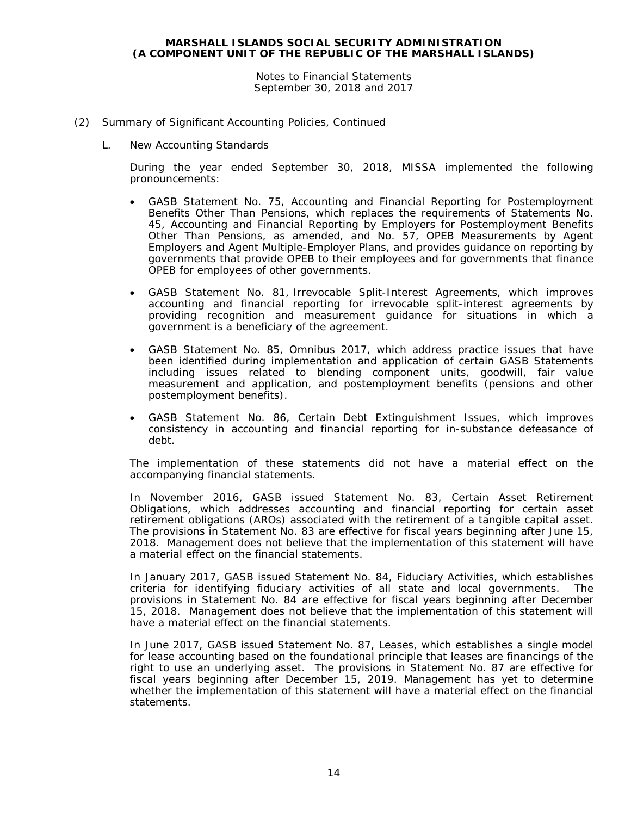Notes to Financial Statements September 30, 2018 and 2017

## (2) Summary of Significant Accounting Policies, Continued

L. New Accounting Standards

During the year ended September 30, 2018, MISSA implemented the following pronouncements:

- GASB Statement No. 75, *Accounting and Financial Reporting for Postemployment Benefits Other Than Pensions*, which replaces the requirements of Statements No. 45, *Accounting and Financial Reporting by Employers for Postemployment Benefits Other Than Pensions*, as amended, and No. 57, *OPEB Measurements by Agent Employers and Agent Multiple-Employer Plans*, and provides guidance on reporting by governments that provide OPEB to their employees and for governments that finance OPEB for employees of other governments.
- GASB Statement No. 81, *Irrevocable Split-Interest Agreements,* which improves accounting and financial reporting for irrevocable split-interest agreements by providing recognition and measurement guidance for situations in which a government is a beneficiary of the agreement.
- GASB Statement No. 85, *Omnibus 2017*, which address practice issues that have been identified during implementation and application of certain GASB Statements including issues related to blending component units, goodwill, fair value measurement and application, and postemployment benefits (pensions and other postemployment benefits).
- GASB Statement No. 86, *Certain Debt Extinguishment Issues*, which improves consistency in accounting and financial reporting for in-substance defeasance of debt.

The implementation of these statements did not have a material effect on the accompanying financial statements.

In November 2016, GASB issued Statement No. 83, *Certain Asset Retirement Obligations*, which addresses accounting and financial reporting for certain asset retirement obligations (AROs) associated with the retirement of a tangible capital asset. The provisions in Statement No. 83 are effective for fiscal years beginning after June 15, 2018. Management does not believe that the implementation of this statement will have a material effect on the financial statements.

In January 2017, GASB issued Statement No. 84, *Fiduciary Activities*, which establishes criteria for identifying fiduciary activities of all state and local governments. The provisions in Statement No. 84 are effective for fiscal years beginning after December 15, 2018. Management does not believe that the implementation of this statement will have a material effect on the financial statements.

In June 2017, GASB issued Statement No. 87, *Leases*, which establishes a single model for lease accounting based on the foundational principle that leases are financings of the right to use an underlying asset. The provisions in Statement No. 87 are effective for fiscal years beginning after December 15, 2019. Management has yet to determine whether the implementation of this statement will have a material effect on the financial statements.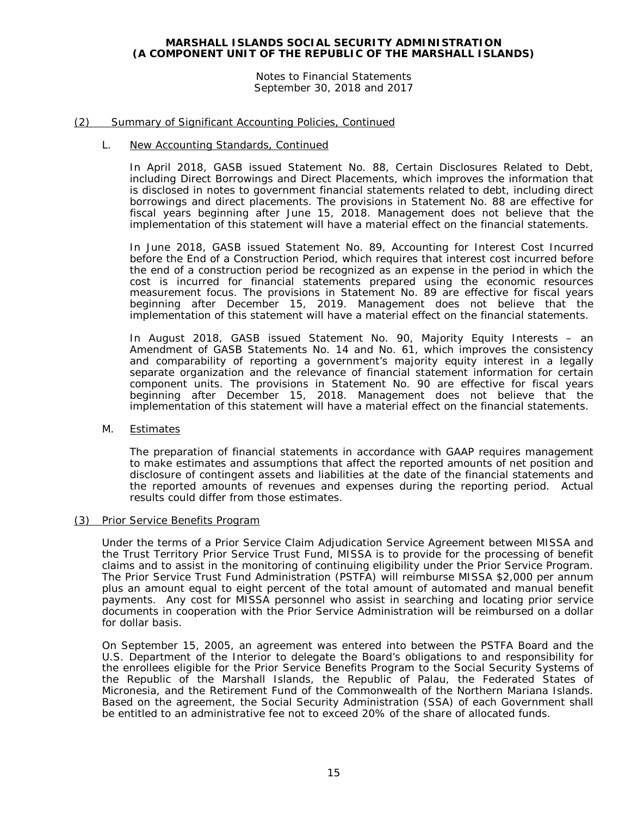Notes to Financial Statements September 30, 2018 and 2017

## (2) Summary of Significant Accounting Policies, Continued

#### L. New Accounting Standards, Continued

In April 2018, GASB issued Statement No. 88, *Certain Disclosures Related to Debt, including Direct Borrowings and Direct Placements*, which improves the information that is disclosed in notes to government financial statements related to debt, including direct borrowings and direct placements. The provisions in Statement No. 88 are effective for fiscal years beginning after June 15, 2018. Management does not believe that the implementation of this statement will have a material effect on the financial statements.

In June 2018, GASB issued Statement No. 89, *Accounting for Interest Cost Incurred before the End of a Construction Period*, which requires that interest cost incurred before the end of a construction period be recognized as an expense in the period in which the cost is incurred for financial statements prepared using the economic resources measurement focus. The provisions in Statement No. 89 are effective for fiscal years beginning after December 15, 2019. Management does not believe that the implementation of this statement will have a material effect on the financial statements.

In August 2018, GASB issued Statement No. 90, *Majority Equity Interests – an Amendment of GASB Statements No. 14 and No. 61,* which improves the consistency and comparability of reporting a government's majority equity interest in a legally separate organization and the relevance of financial statement information for certain component units. The provisions in Statement No. 90 are effective for fiscal years beginning after December 15, 2018. Management does not believe that the implementation of this statement will have a material effect on the financial statements.

M. Estimates

The preparation of financial statements in accordance with GAAP requires management to make estimates and assumptions that affect the reported amounts of net position and disclosure of contingent assets and liabilities at the date of the financial statements and the reported amounts of revenues and expenses during the reporting period. Actual results could differ from those estimates.

#### (3) Prior Service Benefits Program

Under the terms of a Prior Service Claim Adjudication Service Agreement between MISSA and the Trust Territory Prior Service Trust Fund, MISSA is to provide for the processing of benefit claims and to assist in the monitoring of continuing eligibility under the Prior Service Program. The Prior Service Trust Fund Administration (PSTFA) will reimburse MISSA \$2,000 per annum plus an amount equal to eight percent of the total amount of automated and manual benefit payments. Any cost for MISSA personnel who assist in searching and locating prior service documents in cooperation with the Prior Service Administration will be reimbursed on a dollar for dollar basis.

On September 15, 2005, an agreement was entered into between the PSTFA Board and the U.S. Department of the Interior to delegate the Board's obligations to and responsibility for the enrollees eligible for the Prior Service Benefits Program to the Social Security Systems of the Republic of the Marshall Islands, the Republic of Palau, the Federated States of Micronesia, and the Retirement Fund of the Commonwealth of the Northern Mariana Islands. Based on the agreement, the Social Security Administration (SSA) of each Government shall be entitled to an administrative fee not to exceed 20% of the share of allocated funds.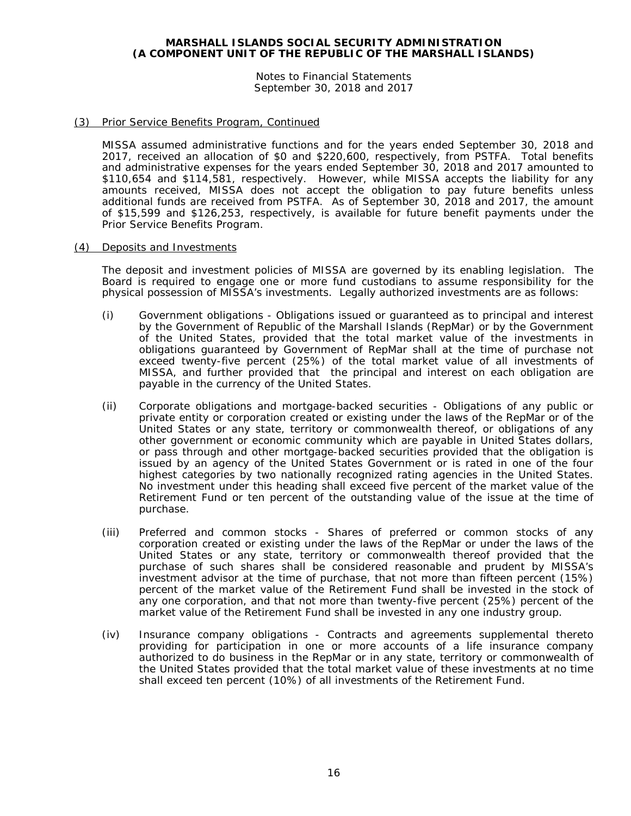Notes to Financial Statements September 30, 2018 and 2017

## (3) Prior Service Benefits Program, Continued

MISSA assumed administrative functions and for the years ended September 30, 2018 and 2017, received an allocation of \$0 and \$220,600, respectively, from PSTFA. Total benefits and administrative expenses for the years ended September 30, 2018 and 2017 amounted to \$110,654 and \$114,581, respectively. However, while MISSA accepts the liability for any amounts received, MISSA does not accept the obligation to pay future benefits unless additional funds are received from PSTFA. As of September 30, 2018 and 2017, the amount of \$15,599 and \$126,253, respectively, is available for future benefit payments under the Prior Service Benefits Program.

#### (4) Deposits and Investments

The deposit and investment policies of MISSA are governed by its enabling legislation. The Board is required to engage one or more fund custodians to assume responsibility for the physical possession of MISSA's investments. Legally authorized investments are as follows:

- (i) Government obligations Obligations issued or guaranteed as to principal and interest by the Government of Republic of the Marshall Islands (RepMar) or by the Government of the United States, provided that the total market value of the investments in obligations guaranteed by Government of RepMar shall at the time of purchase not exceed twenty-five percent (25%) of the total market value of all investments of MISSA, and further provided that the principal and interest on each obligation are payable in the currency of the United States.
- (ii) Corporate obligations and mortgage-backed securities Obligations of any public or private entity or corporation created or existing under the laws of the RepMar or of the United States or any state, territory or commonwealth thereof, or obligations of any other government or economic community which are payable in United States dollars, or pass through and other mortgage-backed securities provided that the obligation is issued by an agency of the United States Government or is rated in one of the four highest categories by two nationally recognized rating agencies in the United States. No investment under this heading shall exceed five percent of the market value of the Retirement Fund or ten percent of the outstanding value of the issue at the time of purchase.
- (iii) Preferred and common stocks Shares of preferred or common stocks of any corporation created or existing under the laws of the RepMar or under the laws of the United States or any state, territory or commonwealth thereof provided that the purchase of such shares shall be considered reasonable and prudent by MISSA's investment advisor at the time of purchase, that not more than fifteen percent (15%) percent of the market value of the Retirement Fund shall be invested in the stock of any one corporation, and that not more than twenty-five percent (25%) percent of the market value of the Retirement Fund shall be invested in any one industry group.
- (iv) Insurance company obligations Contracts and agreements supplemental thereto providing for participation in one or more accounts of a life insurance company authorized to do business in the RepMar or in any state, territory or commonwealth of the United States provided that the total market value of these investments at no time shall exceed ten percent (10%) of all investments of the Retirement Fund.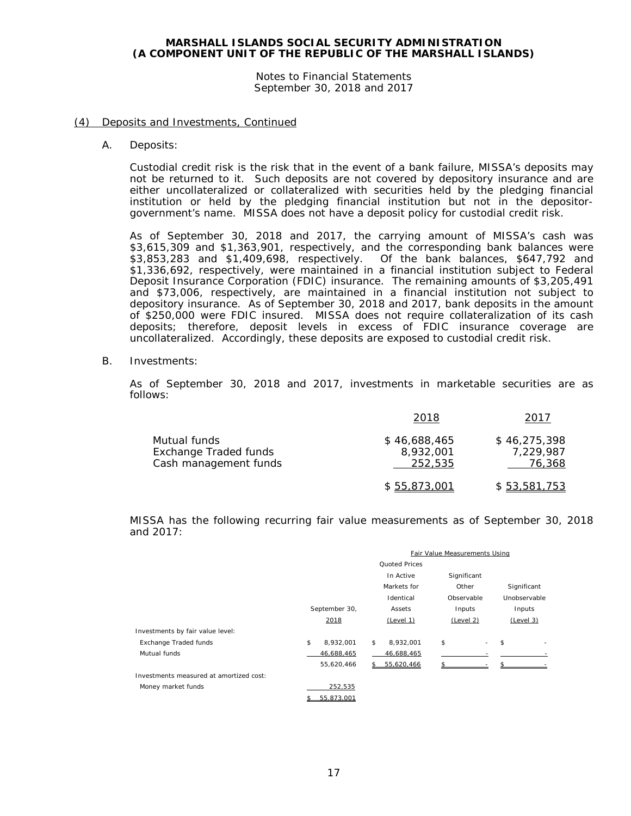Notes to Financial Statements September 30, 2018 and 2017

#### (4) Deposits and Investments, Continued

A. Deposits:

Custodial credit risk is the risk that in the event of a bank failure, MISSA's deposits may not be returned to it. Such deposits are not covered by depository insurance and are either uncollateralized or collateralized with securities held by the pledging financial institution or held by the pledging financial institution but not in the depositorgovernment's name. MISSA does not have a deposit policy for custodial credit risk.

As of September 30, 2018 and 2017, the carrying amount of MISSA's cash was \$3,615,309 and \$1,363,901, respectively, and the corresponding bank balances were \$3,853,283 and \$1,409,698, respectively. Of the bank balances, \$647,792 and \$1,336,692, respectively, were maintained in a financial institution subject to Federal Deposit Insurance Corporation (FDIC) insurance. The remaining amounts of \$3,205,491 and \$73,006, respectively, are maintained in a financial institution not subject to depository insurance. As of September 30, 2018 and 2017, bank deposits in the amount of \$250,000 were FDIC insured. MISSA does not require collateralization of its cash deposits; therefore, deposit levels in excess of FDIC insurance coverage are uncollateralized. Accordingly, these deposits are exposed to custodial credit risk.

B. Investments:

As of September 30, 2018 and 2017, investments in marketable securities are as follows:

|                                                                | 2018                                 | 2017                                |
|----------------------------------------------------------------|--------------------------------------|-------------------------------------|
| Mutual funds<br>Exchange Traded funds<br>Cash management funds | \$46,688,465<br>8,932,001<br>252.535 | \$46,275,398<br>7.229.987<br>76,368 |
|                                                                | \$55,873,001                         | \$53,581,753                        |

MISSA has the following recurring fair value measurements as of September 30, 2018 and 2017:

|                                         |                 | Fair Value Measurements Using |             |              |
|-----------------------------------------|-----------------|-------------------------------|-------------|--------------|
|                                         |                 | <b>Quoted Prices</b>          |             |              |
|                                         |                 | In Active                     | Significant |              |
|                                         |                 | Markets for                   | Other       | Significant  |
|                                         |                 | Identical                     | Observable  | Unobservable |
|                                         | September 30,   | Assets                        | Inputs      | Inputs       |
|                                         | 2018            | (Level 1)                     | (Level 2)   | (Level 3)    |
| Investments by fair value level:        |                 |                               |             |              |
| Exchange Traded funds                   | \$<br>8,932,001 | \$<br>8,932,001               | \$<br>٠     | \$           |
| Mutual funds                            | 46,688,465      | 46,688,465                    |             |              |
|                                         | 55,620,466      | 55.620.466                    |             |              |
| Investments measured at amortized cost: |                 |                               |             |              |
| Money market funds                      | 252,535         |                               |             |              |
|                                         | 55.873.001      |                               |             |              |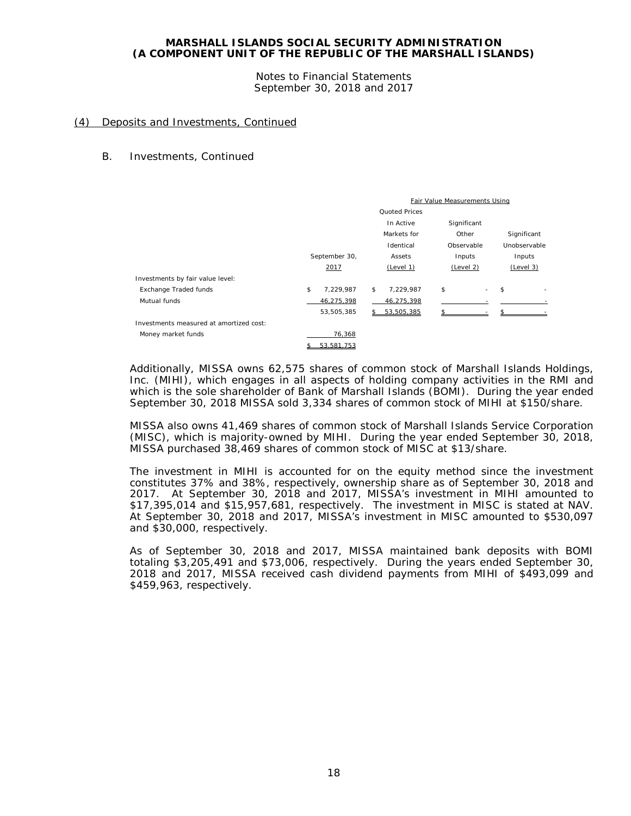Notes to Financial Statements September 30, 2018 and 2017

## (4) Deposits and Investments, Continued

## B. Investments, Continued

|                                         |                 |                      | Fair Value Measurements Using |            |              |
|-----------------------------------------|-----------------|----------------------|-------------------------------|------------|--------------|
|                                         |                 | <b>Ouoted Prices</b> |                               |            |              |
|                                         |                 | In Active            | Significant                   |            |              |
|                                         |                 | Markets for          |                               | Other      | Significant  |
|                                         |                 | Identical            |                               | Observable | Unobservable |
|                                         | September 30,   | Assets               |                               | Inputs     | Inputs       |
|                                         | 2017            | (Level 1)            |                               | (Level 2)  | (Level 3)    |
| Investments by fair value level:        |                 |                      |                               |            |              |
| Exchange Traded funds                   | \$<br>7,229,987 | \$<br>7,229,987      | \$                            | ٠          | \$           |
| Mutual funds                            | 46,275,398      | 46,275,398           |                               |            |              |
|                                         | 53,505,385      | \$53,505,385         |                               |            |              |
| Investments measured at amortized cost: |                 |                      |                               |            |              |
| Money market funds                      | 76,368          |                      |                               |            |              |
|                                         | 53.581.753      |                      |                               |            |              |

Additionally, MISSA owns 62,575 shares of common stock of Marshall Islands Holdings, Inc. (MIHI), which engages in all aspects of holding company activities in the RMI and which is the sole shareholder of Bank of Marshall Islands (BOMI). During the year ended September 30, 2018 MISSA sold 3,334 shares of common stock of MIHI at \$150/share.

MISSA also owns 41,469 shares of common stock of Marshall Islands Service Corporation (MISC), which is majority-owned by MIHI. During the year ended September 30, 2018, MISSA purchased 38,469 shares of common stock of MISC at \$13/share.

The investment in MIHI is accounted for on the equity method since the investment constitutes 37% and 38%, respectively, ownership share as of September 30, 2018 and 2017. At September 30, 2018 and 2017, MISSA's investment in MIHI amounted to \$17,395,014 and \$15,957,681, respectively. The investment in MISC is stated at NAV. At September 30, 2018 and 2017, MISSA's investment in MISC amounted to \$530,097 and \$30,000, respectively.

As of September 30, 2018 and 2017, MISSA maintained bank deposits with BOMI totaling \$3,205,491 and \$73,006, respectively. During the years ended September 30, 2018 and 2017, MISSA received cash dividend payments from MIHI of \$493,099 and \$459,963, respectively.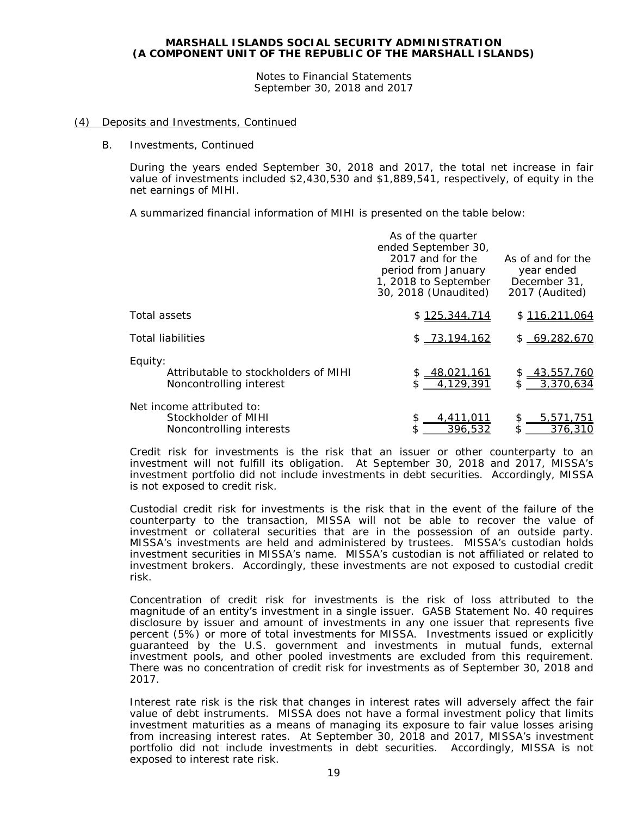Notes to Financial Statements September 30, 2018 and 2017

## (4) Deposits and Investments, Continued

B. Investments, Continued

During the years ended September 30, 2018 and 2017, the total net increase in fair value of investments included \$2,430,530 and \$1,889,541, respectively, of equity in the net earnings of MIHI.

A summarized financial information of MIHI is presented on the table below:

|                                                                              | As of the quarter<br>ended September 30,<br>2017 and for the<br>period from January<br>1, 2018 to September<br>30, 2018 (Unaudited) | As of and for the<br>year ended<br>December 31,<br>2017 (Audited) |
|------------------------------------------------------------------------------|-------------------------------------------------------------------------------------------------------------------------------------|-------------------------------------------------------------------|
| Total assets                                                                 | \$125,344,714                                                                                                                       | \$116,211,064                                                     |
| <b>Total liabilities</b>                                                     | $$ -73,194,162$                                                                                                                     | \$69,282,670                                                      |
| Equity:<br>Attributable to stockholders of MIHI<br>Noncontrolling interest   | <u>\$48,021,161</u><br>4,129,391                                                                                                    | <u>43,557,760</u><br>3,370,634                                    |
| Net income attributed to:<br>Stockholder of MIHI<br>Noncontrolling interests | 396,532                                                                                                                             | \$<br>5,571,751<br>\$<br>376.310                                  |

Credit risk for investments is the risk that an issuer or other counterparty to an investment will not fulfill its obligation. At September 30, 2018 and 2017, MISSA's investment portfolio did not include investments in debt securities. Accordingly, MISSA is not exposed to credit risk.

Custodial credit risk for investments is the risk that in the event of the failure of the counterparty to the transaction, MISSA will not be able to recover the value of investment or collateral securities that are in the possession of an outside party. MISSA's investments are held and administered by trustees. MISSA's custodian holds investment securities in MISSA's name. MISSA's custodian is not affiliated or related to investment brokers. Accordingly, these investments are not exposed to custodial credit risk.

Concentration of credit risk for investments is the risk of loss attributed to the magnitude of an entity's investment in a single issuer. GASB Statement No. 40 requires disclosure by issuer and amount of investments in any one issuer that represents five percent (5%) or more of total investments for MISSA. Investments issued or explicitly guaranteed by the U.S. government and investments in mutual funds, external investment pools, and other pooled investments are excluded from this requirement. There was no concentration of credit risk for investments as of September 30, 2018 and 2017.

Interest rate risk is the risk that changes in interest rates will adversely affect the fair value of debt instruments. MISSA does not have a formal investment policy that limits investment maturities as a means of managing its exposure to fair value losses arising from increasing interest rates. At September 30, 2018 and 2017, MISSA's investment portfolio did not include investments in debt securities. Accordingly, MISSA is not exposed to interest rate risk.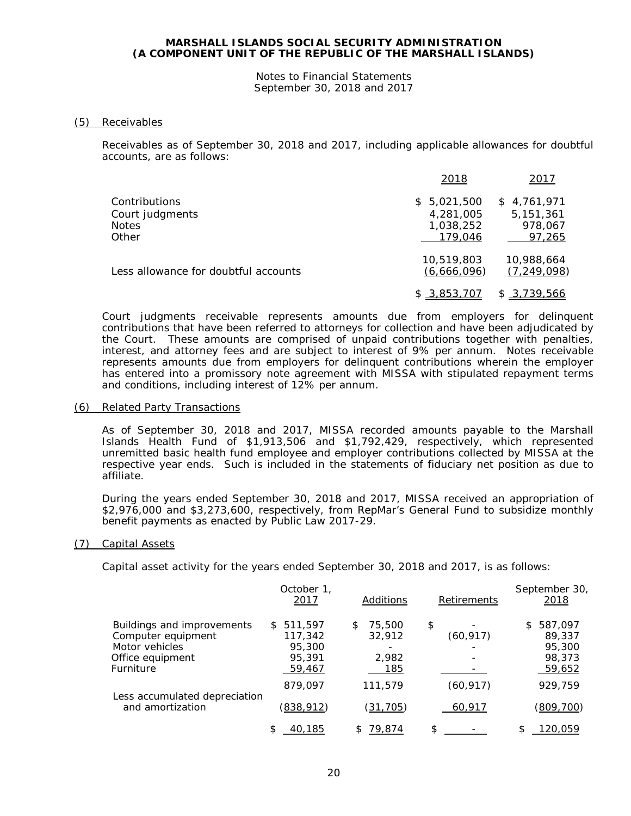Notes to Financial Statements September 30, 2018 and 2017

#### (5) Receivables

Receivables as of September 30, 2018 and 2017, including applicable allowances for doubtful accounts, are as follows:

|                                                    | 2018                                             | 2017                                          |
|----------------------------------------------------|--------------------------------------------------|-----------------------------------------------|
| Contributions<br>Court judgments<br>Notes<br>Other | \$5,021,500<br>4,281,005<br>1,038,252<br>179,046 | \$4,761,971<br>5,151,361<br>978,067<br>97,265 |
| Less allowance for doubtful accounts               | 10,519,803<br>(6,666,096)                        | 10,988,664<br>(7, 249, 098)                   |
|                                                    | \$3,853,707                                      | \$3,739,566                                   |

Court judgments receivable represents amounts due from employers for delinquent contributions that have been referred to attorneys for collection and have been adjudicated by the Court. These amounts are comprised of unpaid contributions together with penalties, interest, and attorney fees and are subject to interest of 9% per annum. Notes receivable represents amounts due from employers for delinquent contributions wherein the employer has entered into a promissory note agreement with MISSA with stipulated repayment terms and conditions, including interest of 12% per annum.

## (6) Related Party Transactions

As of September 30, 2018 and 2017, MISSA recorded amounts payable to the Marshall Islands Health Fund of \$1,913,506 and \$1,792,429, respectively, which represented unremitted basic health fund employee and employer contributions collected by MISSA at the respective year ends. Such is included in the statements of fiduciary net position as due to affiliate.

During the years ended September 30, 2018 and 2017, MISSA received an appropriation of \$2,976,000 and \$3,273,600, respectively, from RepMar's General Fund to subsidize monthly benefit payments as enacted by Public Law 2017-29.

## (7) Capital Assets

Capital asset activity for the years ended September 30, 2018 and 2017, is as follows:

|                                                                                                     | October 1,<br>2017                                 | Additions                              | Retirements         | September 30,<br>2018                                 |  |
|-----------------------------------------------------------------------------------------------------|----------------------------------------------------|----------------------------------------|---------------------|-------------------------------------------------------|--|
| Buildings and improvements<br>Computer equipment<br>Motor vehicles<br>Office equipment<br>Furniture | \$511.597<br>117,342<br>95,300<br>95,391<br>59,467 | 75,500<br>\$<br>32,912<br>2,982<br>185 | \$<br>(60, 917)     | 587,097<br>\$<br>89,337<br>95,300<br>98,373<br>59,652 |  |
| Less accumulated depreciation<br>and amortization                                                   | 879.097<br>(838,912)                               | 111,579<br>(31,705)                    | (60, 917)<br>60,917 | 929,759<br>(809, 700)                                 |  |
|                                                                                                     | 40,185                                             | 79,874<br>S                            | \$                  | 120.059<br>\$                                         |  |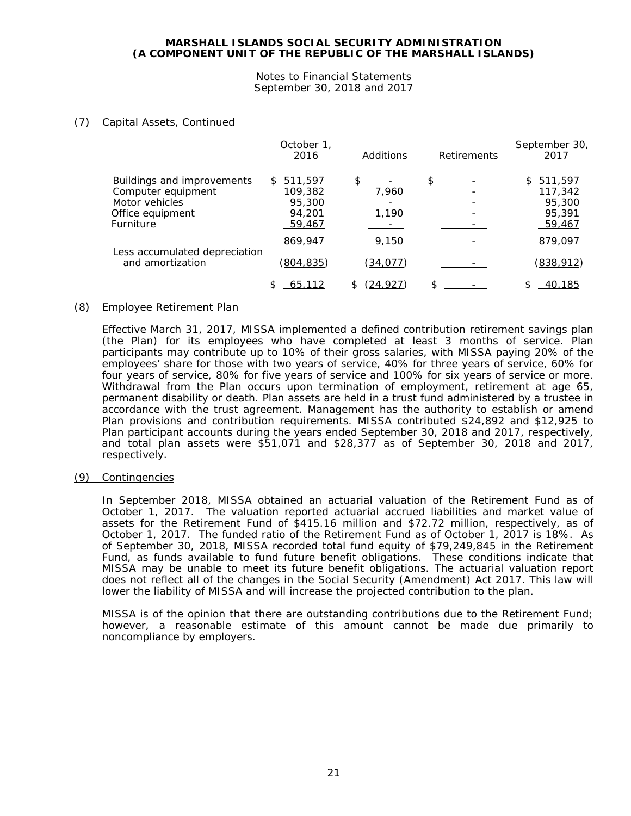Notes to Financial Statements September 30, 2018 and 2017

## (7) Capital Assets, Continued

|                                                                                                     | October 1,<br>2016<br>Additions                                    |                                                  | Retirements | September 30,<br>2017                              |  |
|-----------------------------------------------------------------------------------------------------|--------------------------------------------------------------------|--------------------------------------------------|-------------|----------------------------------------------------|--|
| Buildings and improvements<br>Computer equipment<br>Motor vehicles<br>Office equipment<br>Furniture | 511,597<br>$\mathbb{S}^-$<br>109,382<br>95,300<br>94.201<br>59,467 | \$<br>7,960<br>$\overline{\phantom{a}}$<br>1,190 | \$          | \$511,597<br>117,342<br>95,300<br>95,391<br>59,467 |  |
| Less accumulated depreciation<br>and amortization                                                   | 869.947<br>(804,835)                                               | 9.150<br>(34,077)                                |             | 879,097<br>(838,912)                               |  |
|                                                                                                     | 65.112                                                             | (24.927)                                         | \$          | 40.185                                             |  |

#### (8) Employee Retirement Plan

Effective March 31, 2017, MISSA implemented a defined contribution retirement savings plan (the Plan) for its employees who have completed at least 3 months of service. Plan participants may contribute up to 10% of their gross salaries, with MISSA paying 20% of the employees' share for those with two years of service, 40% for three years of service, 60% for four years of service, 80% for five years of service and 100% for six years of service or more. Withdrawal from the Plan occurs upon termination of employment, retirement at age 65, permanent disability or death. Plan assets are held in a trust fund administered by a trustee in accordance with the trust agreement. Management has the authority to establish or amend Plan provisions and contribution requirements. MISSA contributed \$24,892 and \$12,925 to Plan participant accounts during the years ended September 30, 2018 and 2017, respectively, and total plan assets were \$51,071 and \$28,377 as of September 30, 2018 and 2017, respectively.

#### (9) Contingencies

In September 2018, MISSA obtained an actuarial valuation of the Retirement Fund as of October 1, 2017. The valuation reported actuarial accrued liabilities and market value of assets for the Retirement Fund of \$415.16 million and \$72.72 million, respectively, as of October 1, 2017. The funded ratio of the Retirement Fund as of October 1, 2017 is 18%. As of September 30, 2018, MISSA recorded total fund equity of \$79,249,845 in the Retirement Fund, as funds available to fund future benefit obligations. These conditions indicate that MISSA may be unable to meet its future benefit obligations. The actuarial valuation report does not reflect all of the changes in the Social Security (Amendment) Act 2017. This law will lower the liability of MISSA and will increase the projected contribution to the plan.

MISSA is of the opinion that there are outstanding contributions due to the Retirement Fund; however, a reasonable estimate of this amount cannot be made due primarily to noncompliance by employers.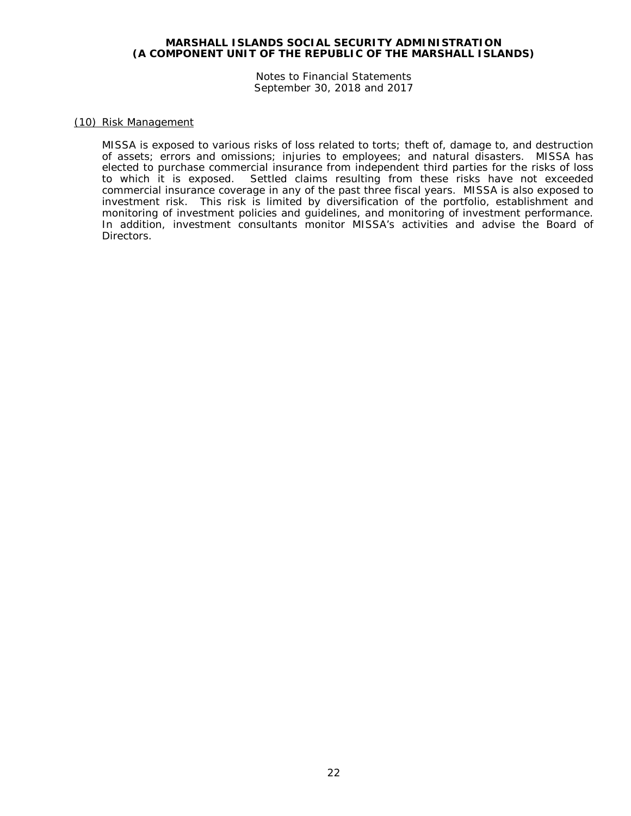Notes to Financial Statements September 30, 2018 and 2017

#### (10) Risk Management

MISSA is exposed to various risks of loss related to torts; theft of, damage to, and destruction of assets; errors and omissions; injuries to employees; and natural disasters. MISSA has elected to purchase commercial insurance from independent third parties for the risks of loss to which it is exposed. Settled claims resulting from these risks have not exceeded commercial insurance coverage in any of the past three fiscal years. MISSA is also exposed to investment risk. This risk is limited by diversification of the portfolio, establishment and monitoring of investment policies and guidelines, and monitoring of investment performance. In addition, investment consultants monitor MISSA's activities and advise the Board of Directors.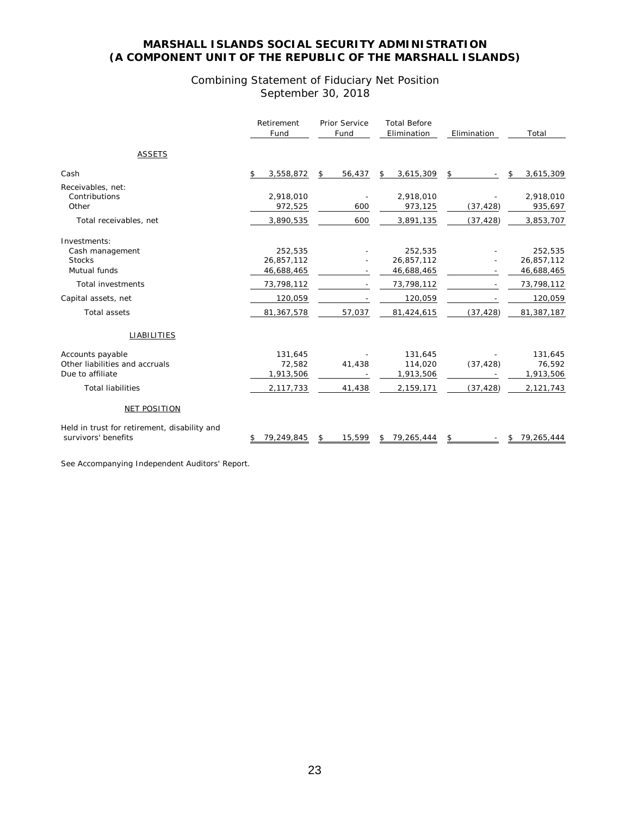# Combining Statement of Fiduciary Net Position September 30, 2018

|                                                                        | Retirement<br>Fund                  | Prior Service<br>Fund | <b>Total Before</b><br>Elimination  | Elimination | Total                               |
|------------------------------------------------------------------------|-------------------------------------|-----------------------|-------------------------------------|-------------|-------------------------------------|
| <b>ASSETS</b>                                                          |                                     |                       |                                     |             |                                     |
| Cash                                                                   | \$<br>3,558,872                     | 56,437<br>\$          | 3,615,309<br>\$                     | \$          | 3,615,309<br>\$                     |
| Receivables, net:<br>Contributions<br>Other                            | 2,918,010<br>972,525                | 600                   | 2,918,010<br>973,125                | (37,428)    | 2,918,010<br>935,697                |
| Total receivables, net                                                 | 3,890,535                           | 600                   | 3,891,135                           | (37, 428)   | 3,853,707                           |
| Investments:<br>Cash management<br><b>Stocks</b><br>Mutual funds       | 252,535<br>26,857,112<br>46,688,465 |                       | 252,535<br>26,857,112<br>46,688,465 |             | 252,535<br>26,857,112<br>46,688,465 |
| <b>Total investments</b>                                               | 73,798,112                          |                       | 73,798,112                          |             | 73,798,112                          |
| Capital assets, net                                                    | 120,059                             |                       | 120,059                             |             | 120,059                             |
| <b>Total assets</b>                                                    | 81,367,578                          | 57,037                | 81,424,615                          | (37, 428)   | 81,387,187                          |
| LIABILITIES                                                            |                                     |                       |                                     |             |                                     |
| Accounts payable<br>Other liabilities and accruals<br>Due to affiliate | 131,645<br>72,582<br>1,913,506      | 41,438                | 131,645<br>114,020<br>1,913,506     | (37, 428)   | 131,645<br>76,592<br>1,913,506      |
| <b>Total liabilities</b>                                               | 2,117,733                           | 41,438                | 2,159,171                           | (37, 428)   | 2,121,743                           |
| <b>NET POSITION</b>                                                    |                                     |                       |                                     |             |                                     |
| Held in trust for retirement, disability and<br>survivors' benefits    | 79,249,845<br>\$                    | 15,599<br>\$          | 79,265,444<br>\$                    | \$          | 79,265,444<br>\$                    |

See Accompanying Independent Auditors' Report.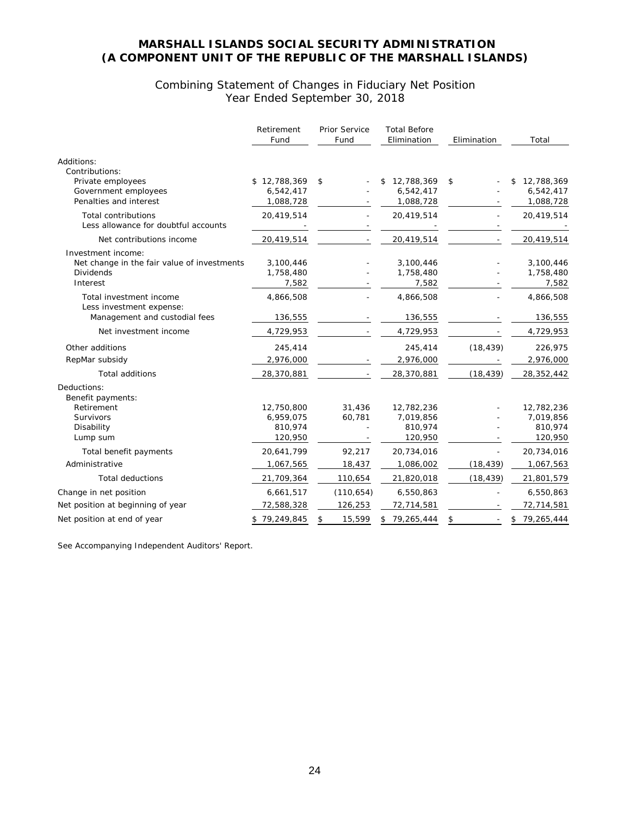# Combining Statement of Changes in Fiduciary Net Position Year Ended September 30, 2018

|                                                     | Retirement<br>Fund | Prior Service<br>Fund | <b>Total Before</b><br>Elimination | Elimination              | Total            |
|-----------------------------------------------------|--------------------|-----------------------|------------------------------------|--------------------------|------------------|
| Additions:<br>Contributions:                        |                    |                       |                                    |                          |                  |
| Private employees                                   | \$12,788,369       | \$                    | 12,788,369<br>\$                   | \$                       | 12,788,369<br>\$ |
| Government employees                                | 6,542,417          |                       | 6,542,417                          |                          | 6,542,417        |
| Penalties and interest                              | 1,088,728          |                       | 1,088,728                          |                          | 1,088,728        |
| <b>Total contributions</b>                          | 20,419,514         |                       | 20,419,514                         |                          | 20,419,514       |
| Less allowance for doubtful accounts                |                    |                       |                                    |                          |                  |
| Net contributions income                            | 20,419,514         |                       | 20,419,514                         | $\overline{\phantom{a}}$ | 20,419,514       |
| Investment income:                                  |                    |                       |                                    |                          |                  |
| Net change in the fair value of investments         | 3,100,446          |                       | 3,100,446                          |                          | 3,100,446        |
| <b>Dividends</b>                                    | 1,758,480          |                       | 1,758,480                          |                          | 1,758,480        |
| Interest                                            | 7,582              |                       | 7,582                              |                          | 7,582            |
| Total investment income<br>Less investment expense: | 4,866,508          |                       | 4,866,508                          |                          | 4,866,508        |
| Management and custodial fees                       | 136,555            |                       | 136,555                            |                          | 136,555          |
| Net investment income                               | 4,729,953          |                       | 4,729,953                          |                          | 4,729,953        |
| Other additions                                     | 245,414            |                       | 245,414                            | (18, 439)                | 226,975          |
| RepMar subsidy                                      | 2,976,000          |                       | 2,976,000                          |                          | 2,976,000        |
| <b>Total additions</b>                              | 28,370,881         |                       | 28,370,881                         | (18, 439)                | 28,352,442       |
| Deductions:                                         |                    |                       |                                    |                          |                  |
| Benefit payments:                                   |                    |                       |                                    |                          |                  |
| Retirement                                          | 12,750,800         | 31,436                | 12,782,236                         |                          | 12,782,236       |
| Survivors                                           | 6,959,075          | 60,781                | 7,019,856                          |                          | 7,019,856        |
| Disability                                          | 810,974            |                       | 810,974                            |                          | 810,974          |
| Lump sum                                            | 120,950            |                       | 120,950                            |                          | 120,950          |
| Total benefit payments                              | 20,641,799         | 92,217                | 20,734,016                         |                          | 20,734,016       |
| Administrative                                      | 1,067,565          | 18,437                | 1,086,002                          | (18, 439)                | 1,067,563        |
| <b>Total deductions</b>                             | 21,709,364         | 110,654               | 21,820,018                         | (18, 439)                | 21,801,579       |
| Change in net position                              | 6,661,517          | (110, 654)            | 6,550,863                          |                          | 6,550,863        |
| Net position at beginning of year                   | 72,588,328         | 126,253               | 72,714,581                         |                          | 72,714,581       |
| Net position at end of year                         | \$79,249,845       | 15,599<br>\$          | \$79,265,444                       | \$                       | \$79,265,444     |

See Accompanying Independent Auditors' Report.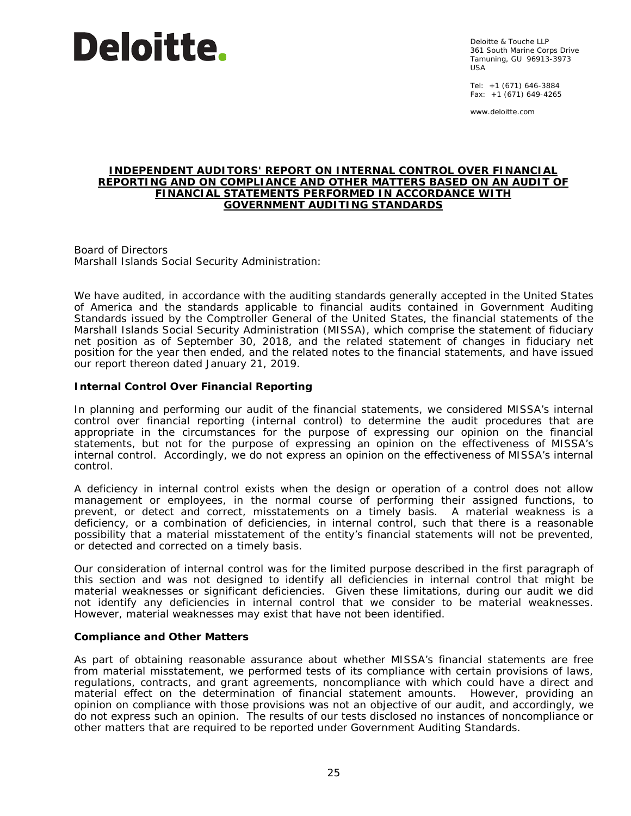

Deloitte & Touche LLP 361 South Marine Corps Drive Tamuning, GU 96913-3973 USA

Tel: +1 (671) 646-3884 Fax: +1 (671) 649-4265

www.deloitte.com

#### **INDEPENDENT AUDITORS' REPORT ON INTERNAL CONTROL OVER FINANCIAL REPORTING AND ON COMPLIANCE AND OTHER MATTERS BASED ON AN AUDIT OF FINANCIAL STATEMENTS PERFORMED IN ACCORDANCE WITH**  *GOVERNMENT AUDITING STANDARDS*

Board of Directors Marshall Islands Social Security Administration:

We have audited, in accordance with the auditing standards generally accepted in the United States of America and the standards applicable to financial audits contained in *Government Auditing Standards* issued by the Comptroller General of the United States, the financial statements of the Marshall Islands Social Security Administration (MISSA), which comprise the statement of fiduciary net position as of September 30, 2018, and the related statement of changes in fiduciary net position for the year then ended, and the related notes to the financial statements, and have issued our report thereon dated January 21, 2019.

## **Internal Control Over Financial Reporting**

In planning and performing our audit of the financial statements, we considered MISSA's internal control over financial reporting (internal control) to determine the audit procedures that are appropriate in the circumstances for the purpose of expressing our opinion on the financial statements, but not for the purpose of expressing an opinion on the effectiveness of MISSA's internal control. Accordingly, we do not express an opinion on the effectiveness of MISSA's internal control.

A *deficiency in internal control* exists when the design or operation of a control does not allow management or employees, in the normal course of performing their assigned functions, to prevent, or detect and correct, misstatements on a timely basis. A *material weakness* is a deficiency, or a combination of deficiencies, in internal control, such that there is a reasonable possibility that a material misstatement of the entity's financial statements will not be prevented, or detected and corrected on a timely basis.

Our consideration of internal control was for the limited purpose described in the first paragraph of this section and was not designed to identify all deficiencies in internal control that might be material weaknesses or significant deficiencies. Given these limitations, during our audit we did not identify any deficiencies in internal control that we consider to be material weaknesses. However, material weaknesses may exist that have not been identified.

## **Compliance and Other Matters**

As part of obtaining reasonable assurance about whether MISSA's financial statements are free from material misstatement, we performed tests of its compliance with certain provisions of laws, regulations, contracts, and grant agreements, noncompliance with which could have a direct and material effect on the determination of financial statement amounts. However, providing an opinion on compliance with those provisions was not an objective of our audit, and accordingly, we do not express such an opinion. The results of our tests disclosed no instances of noncompliance or other matters that are required to be reported under *Government Auditing Standards*.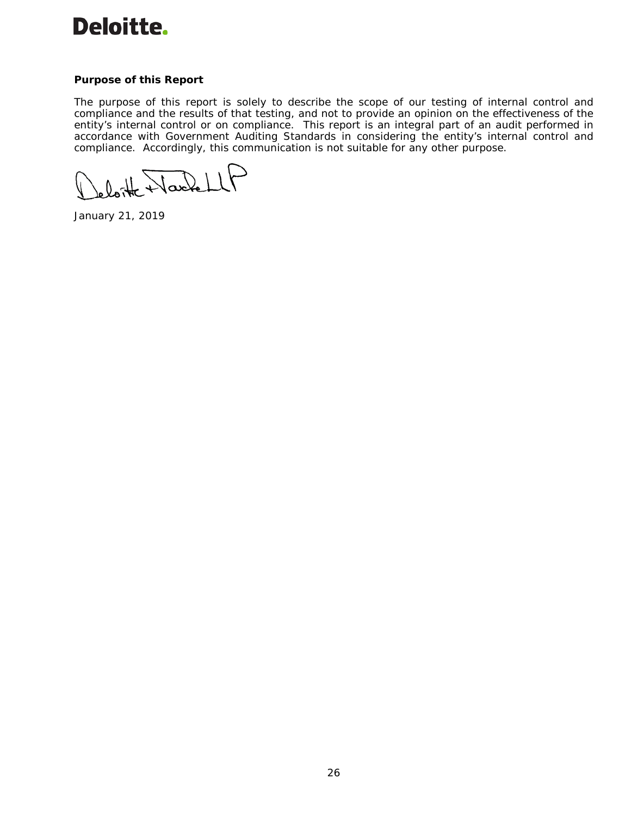

# **Purpose of this Report**

The purpose of this report is solely to describe the scope of our testing of internal control and compliance and the results of that testing, and not to provide an opinion on the effectiveness of the entity's internal control or on compliance. This report is an integral part of an audit performed in accordance with *Government Auditing Standards* in considering the entity's internal control and compliance. Accordingly, this communication is not suitable for any other purpose.

eloite Nachell

January 21, 2019